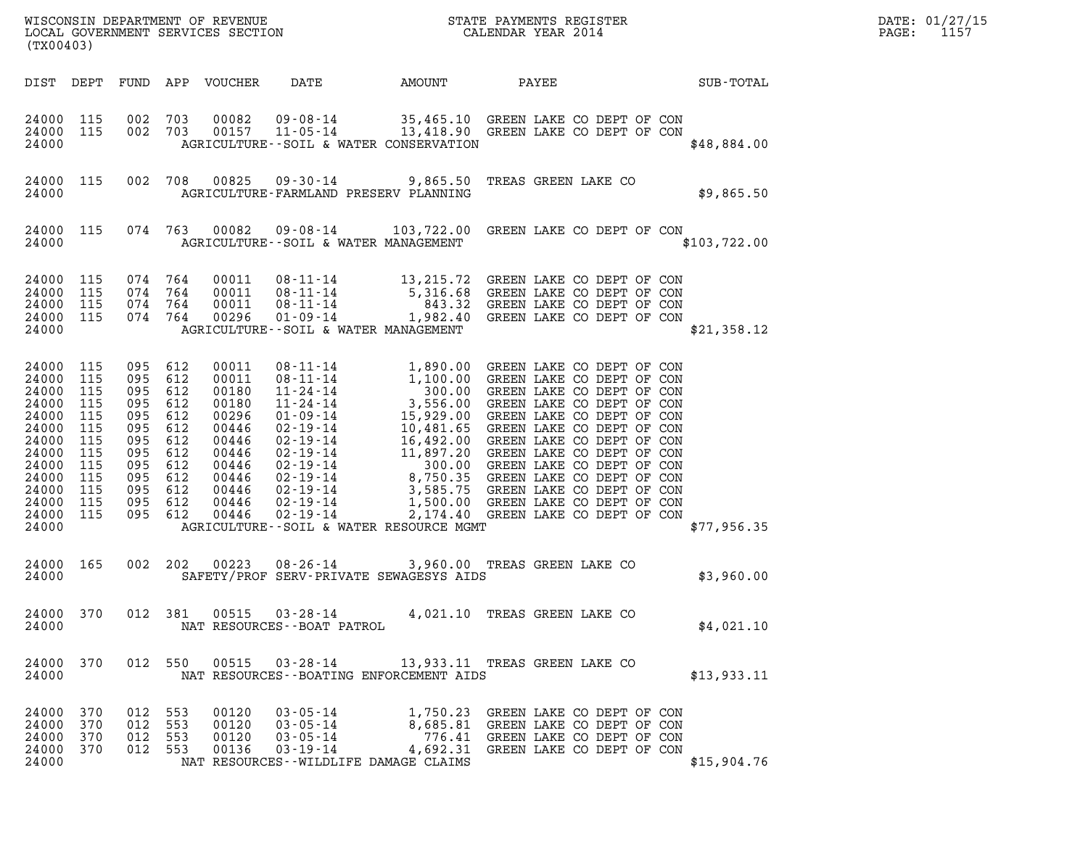| WISCONSIN DEPARTMENT OF REVENUE   | STATE PAYMENTS REGISTER | DATE: 01/27/15 |
|-----------------------------------|-------------------------|----------------|
| LOCAL GOVERNMENT SERVICES SECTION | CALENDAR YEAR 2014      | PAGE:          |

| (TX00403)                                                                                                                                  |                                                             |                                                                                                                                             |            |                                                                                                                   |                                                                | WISCONSIN DEPARTMENT OF REVENUE<br>LOCAL GOVERNMENT SERVICES SECTION THE STATE PAYMENTS REGISTER<br>(TWAR 1931)                                                                                                                 |                              |                                                                                                                                           |              | $\mathtt{PAGE:}$ | DATE: 01/27/15<br>1157 |
|--------------------------------------------------------------------------------------------------------------------------------------------|-------------------------------------------------------------|---------------------------------------------------------------------------------------------------------------------------------------------|------------|-------------------------------------------------------------------------------------------------------------------|----------------------------------------------------------------|---------------------------------------------------------------------------------------------------------------------------------------------------------------------------------------------------------------------------------|------------------------------|-------------------------------------------------------------------------------------------------------------------------------------------|--------------|------------------|------------------------|
| DIST DEPT                                                                                                                                  |                                                             |                                                                                                                                             |            |                                                                                                                   |                                                                | FUND APP VOUCHER DATE   AMOUNT   PAYEE     SUB-TOTAL                                                                                                                                                                            |                              |                                                                                                                                           |              |                  |                        |
| 24000 115<br>24000 115<br>24000                                                                                                            |                                                             | 002<br>002 703                                                                                                                              | 703        |                                                                                                                   |                                                                | 00082  09-08-14  35,465.10  GREEN LAKE CO DEPT OF CON  00157  11-05-14   13,418.90  GREEN LAKE CO DEPT OF CON<br>AGRICULTURE--SOIL & WATER CONSERVATION                                                                         |                              |                                                                                                                                           | \$48,884.00  |                  |                        |
| 24000                                                                                                                                      | 24000 115                                                   |                                                                                                                                             |            |                                                                                                                   |                                                                | 002 708 00825 09-30-14 9,865.50 TREAS GREEN LAKE CO<br>AGRICULTURE-FARMLAND PRESERV PLANNING                                                                                                                                    |                              |                                                                                                                                           | \$9,865.50   |                  |                        |
| 24000                                                                                                                                      | 24000 115                                                   |                                                                                                                                             |            |                                                                                                                   |                                                                | 074 763 00082 09-08-14 103,722.00 GREEN LAKE CO DEPT OF CON<br>AGRICULTURE--SOIL & WATER MANAGEMENT                                                                                                                             |                              |                                                                                                                                           | \$103,722.00 |                  |                        |
| 24000 115<br>24000<br>24000 115<br>24000 115<br>24000                                                                                      | 115                                                         | 074 764<br>074 764<br>074 764<br>074 764                                                                                                    |            | 00011<br>00011<br>00011<br>00296                                                                                  |                                                                | 08-11-14 13,215.72 GREEN LAKE CO DEPT OF CON<br>08-11-14 5,316.68 GREEN LAKE CO DEPT OF CON<br>08-11-14 843.32 GREEN LAKE CO DEPT OF CON<br>01-09-14 1,982.40 GREEN LAKE CO DEPT OF CON<br>AGRICULTURE--SOIL & WATER MANAGEMENT |                              |                                                                                                                                           | \$21,358.12  |                  |                        |
| 24000 115<br>24000 115<br>24000<br>24000<br>24000<br>24000<br>24000<br>24000<br>24000<br>24000<br>24000<br>24000 115<br>24000 115<br>24000 | 115<br>115<br>115<br>115<br>115<br>115<br>115<br>115<br>115 | 095 612<br>095 612<br>095 612<br>095 612<br>095 612<br>095 612<br>095 612<br>095 612<br>095 612<br>095 612<br>095 612<br>095 612<br>095 612 |            | 00011<br>00011<br>00180<br>00180<br>00296<br>00446<br>00446<br>00446<br>00446<br>00446<br>00446<br>00446<br>00446 |                                                                | AGRICULTURE--SOIL & WATER RESOURCE MGMT                                                                                                                                                                                         |                              |                                                                                                                                           | \$77,956.35  |                  |                        |
| 24000                                                                                                                                      | 24000 165                                                   | 002 202                                                                                                                                     |            |                                                                                                                   |                                                                | 00223 08-26-14 3,960.00 TREAS GREEN LAKE CO<br>SAFETY/PROF SERV-PRIVATE SEWAGESYS AIDS                                                                                                                                          |                              |                                                                                                                                           | \$3,960.00   |                  |                        |
| 24000 370<br>24000                                                                                                                         |                                                             | 012 381                                                                                                                                     |            |                                                                                                                   | 00515 03-28-14<br>NAT RESOURCES - - BOAT PATROL                |                                                                                                                                                                                                                                 | 4,021.10 TREAS GREEN LAKE CO |                                                                                                                                           | \$4,021.10   |                  |                        |
| 24000 370<br>24000                                                                                                                         |                                                             | 012 550                                                                                                                                     |            |                                                                                                                   |                                                                | 00515  03-28-14  13,933.11  TREAS GREEN LAKE CO<br>NAT RESOURCES - - BOATING ENFORCEMENT AIDS                                                                                                                                   |                              |                                                                                                                                           | \$13,933.11  |                  |                        |
| 24000 370<br>24000<br>24000<br>24000 370<br>24000                                                                                          | 370<br>370                                                  | 012 553<br>012 553<br>012<br>012                                                                                                            | 553<br>553 | 00120<br>00120<br>00120<br>00136                                                                                  | $03 - 05 - 14$<br>03-05-14<br>$03 - 05 - 14$<br>$03 - 19 - 14$ | 4,692.31<br>NAT RESOURCES--WILDLIFE DAMAGE CLAIMS                                                                                                                                                                               |                              | 1,750.23 GREEN LAKE CO DEPT OF CON<br>8,685.81 GREEN LAKE CO DEPT OF CON<br>776.41 GREEN LAKE CO DEPT OF CON<br>GREEN LAKE CO DEPT OF CON | \$15,904.76  |                  |                        |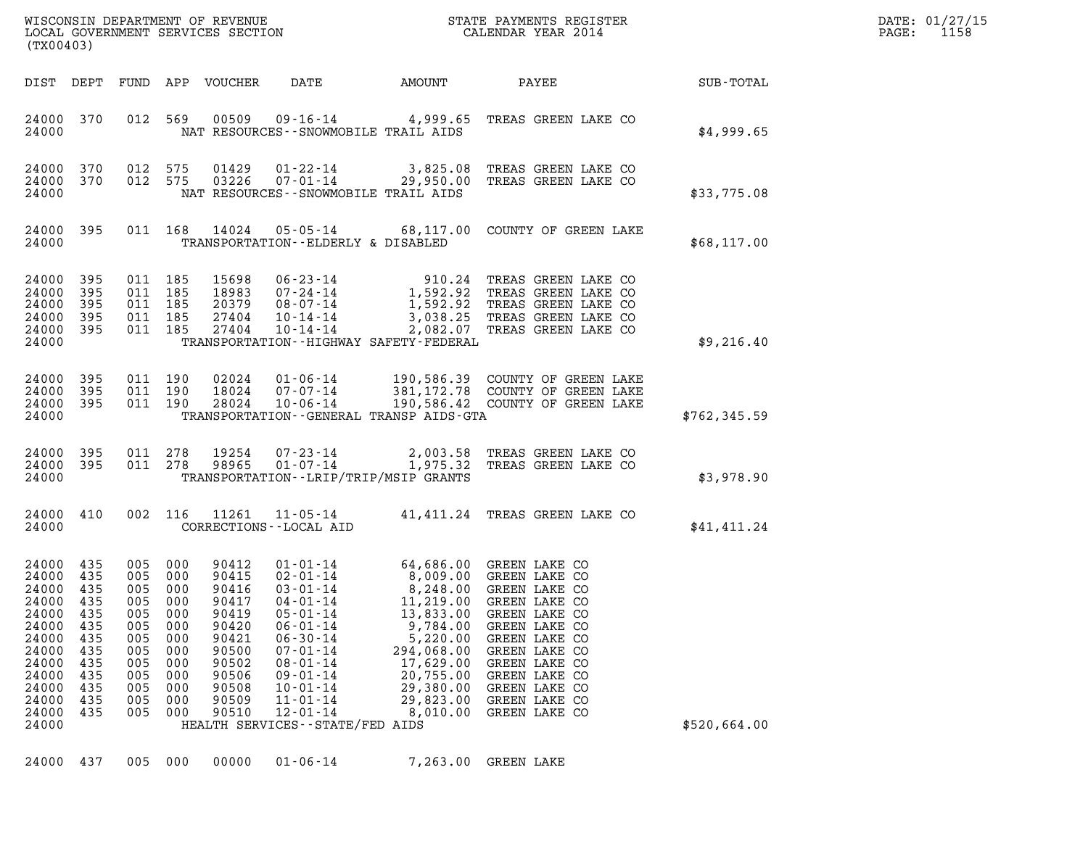| (TX00403)                                                                                                                 |                                                                                 |                                                                                      |                                                                                      |                                                                                                                   |                                                                                                                                                                                                                                                            |                                                                                                                                                                                            |                                                                                                                                                                                                                                       |               | DATE: 01/27/15<br>1158<br>$\mathtt{PAGE:}$ |
|---------------------------------------------------------------------------------------------------------------------------|---------------------------------------------------------------------------------|--------------------------------------------------------------------------------------|--------------------------------------------------------------------------------------|-------------------------------------------------------------------------------------------------------------------|------------------------------------------------------------------------------------------------------------------------------------------------------------------------------------------------------------------------------------------------------------|--------------------------------------------------------------------------------------------------------------------------------------------------------------------------------------------|---------------------------------------------------------------------------------------------------------------------------------------------------------------------------------------------------------------------------------------|---------------|--------------------------------------------|
|                                                                                                                           |                                                                                 |                                                                                      |                                                                                      | DIST DEPT FUND APP VOUCHER                                                                                        |                                                                                                                                                                                                                                                            | DATE AMOUNT                                                                                                                                                                                | <b>PAYEE</b> FOR THE PAYEE                                                                                                                                                                                                            | SUB-TOTAL     |                                            |
| 24000                                                                                                                     | 24000 370                                                                       |                                                                                      |                                                                                      |                                                                                                                   |                                                                                                                                                                                                                                                            | NAT RESOURCES - - SNOWMOBILE TRAIL AIDS                                                                                                                                                    | 012 569 00509 09-16-14 4,999.65 TREAS GREEN LAKE CO                                                                                                                                                                                   | \$4,999.65    |                                            |
| 24000                                                                                                                     | 24000 370<br>24000 370                                                          |                                                                                      |                                                                                      |                                                                                                                   |                                                                                                                                                                                                                                                            | NAT RESOURCES--SNOWMOBILE TRAIL AIDS                                                                                                                                                       | 012 575 01429 01-22-14 3,825.08 TREAS GREEN LAKE CO<br>012 575 03226 07-01-14 29,950.00 TREAS GREEN LAKE CO                                                                                                                           | \$33,775.08   |                                            |
| 24000                                                                                                                     | 24000 395                                                                       |                                                                                      |                                                                                      |                                                                                                                   |                                                                                                                                                                                                                                                            | TRANSPORTATION--ELDERLY & DISABLED                                                                                                                                                         | 011 168 14024 05-05-14 68,117.00 COUNTY OF GREEN LAKE                                                                                                                                                                                 | \$68,117.00   |                                            |
| 24000 395<br>24000 395<br>24000                                                                                           | 24000 395<br>24000 395<br>24000 395                                             | 011 185                                                                              | 011 185<br>011 185<br>011 185<br>011 185                                             |                                                                                                                   |                                                                                                                                                                                                                                                            | TRANSPORTATION - - HIGHWAY SAFETY - FEDERAL                                                                                                                                                | 15698 06-23-14 910.24 TREAS GREEN LAKE CO<br>18983 07-24-14 1,592.92 TREAS GREEN LAKE CO<br>20379 08-07-14 1,592.92 TREAS GREEN LAKE CO<br>27404 10-14-14 3,038.25 TREAS GREEN LAKE CO<br>27404 10-14-14 2,082.07 TREAS GREEN LAKE CO | \$9,216.40    |                                            |
| 24000                                                                                                                     | 24000 395<br>24000 395<br>24000 395                                             |                                                                                      | 011 190<br>011 190<br>011 190                                                        | 02024<br>18024<br>28024                                                                                           |                                                                                                                                                                                                                                                            | TRANSPORTATION--GENERAL TRANSP AIDS-GTA                                                                                                                                                    | 01-06-14 190,586.39 COUNTY OF GREEN LAKE<br>07-07-14 381,172.78 COUNTY OF GREEN LAKE<br>10-06-14 190,586.42 COUNTY OF GREEN LAKE                                                                                                      | \$762, 345.59 |                                            |
| 24000                                                                                                                     | 24000 395<br>24000 395                                                          |                                                                                      |                                                                                      | 011 278 19254<br>011 278 98965                                                                                    |                                                                                                                                                                                                                                                            | TRANSPORTATION - - LRIP/TRIP/MSIP GRANTS                                                                                                                                                   | 07-23-14 2,003.58 TREAS GREEN LAKE CO<br>01-07-14 1,975.32 TREAS GREEN LAKE CO                                                                                                                                                        | \$3,978.90    |                                            |
| 24000                                                                                                                     | 24000 410                                                                       |                                                                                      |                                                                                      |                                                                                                                   | CORRECTIONS - - LOCAL AID                                                                                                                                                                                                                                  |                                                                                                                                                                                            | 002 116 11261 11-05-14 41,411.24 TREAS GREEN LAKE CO                                                                                                                                                                                  | \$41,411.24   |                                            |
| 24000 435<br>24000 435<br>24000<br>24000<br>24000<br>24000<br>24000<br>24000<br>24000<br>24000<br>24000<br>24000<br>24000 | 24000 435<br>435<br>435<br>435<br>435<br>435<br>435<br>435<br>435<br>435<br>435 | 005<br>005 000<br>005<br>005<br>005<br>005<br>005<br>005<br>005<br>005<br>005<br>005 | 005 000<br>000<br>000<br>000<br>000<br>000<br>000<br>000<br>000<br>000<br>000<br>000 | 90412<br>90415<br>90416<br>90417<br>90419<br>90420<br>90421<br>90500<br>90502<br>90506<br>90508<br>90509<br>90510 | $02 - 01 - 14$<br>$03 - 01 - 14$<br>$04 - 01 - 14$<br>$05 - 01 - 14$<br>$06 - 01 - 14$<br>$06 - 30 - 14$<br>$07 - 01 - 14$<br>$08 - 01 - 14$<br>$09 - 01 - 14$<br>$10 - 01 - 14$<br>$11 - 01 - 14$<br>$12 - 01 - 14$<br>HEALTH SERVICES - - STATE/FED AIDS | 01-01-14 64,686.00 GREEN LAKE CO<br>8,009.00 GREEN LAKE CO<br>11,219.00<br>13,833.00<br>9,784.00<br>5,220.00<br>294,068.00<br>17,629.00<br>20,755.00<br>29,380.00<br>29,823.00<br>8,010.00 | 8,248.00 GREEN LAKE CO<br>GREEN LAKE CO<br>GREEN LAKE CO<br>GREEN LAKE CO<br>GREEN LAKE CO<br>GREEN LAKE CO<br>GREEN LAKE CO<br>GREEN LAKE CO<br>GREEN LAKE CO<br>GREEN LAKE CO<br>GREEN LAKE CO                                      | \$520,664.00  |                                            |
| 24000                                                                                                                     | 437                                                                             | 005                                                                                  | 000                                                                                  | 00000                                                                                                             | $01 - 06 - 14$                                                                                                                                                                                                                                             | 7,263.00                                                                                                                                                                                   | GREEN LAKE                                                                                                                                                                                                                            |               |                                            |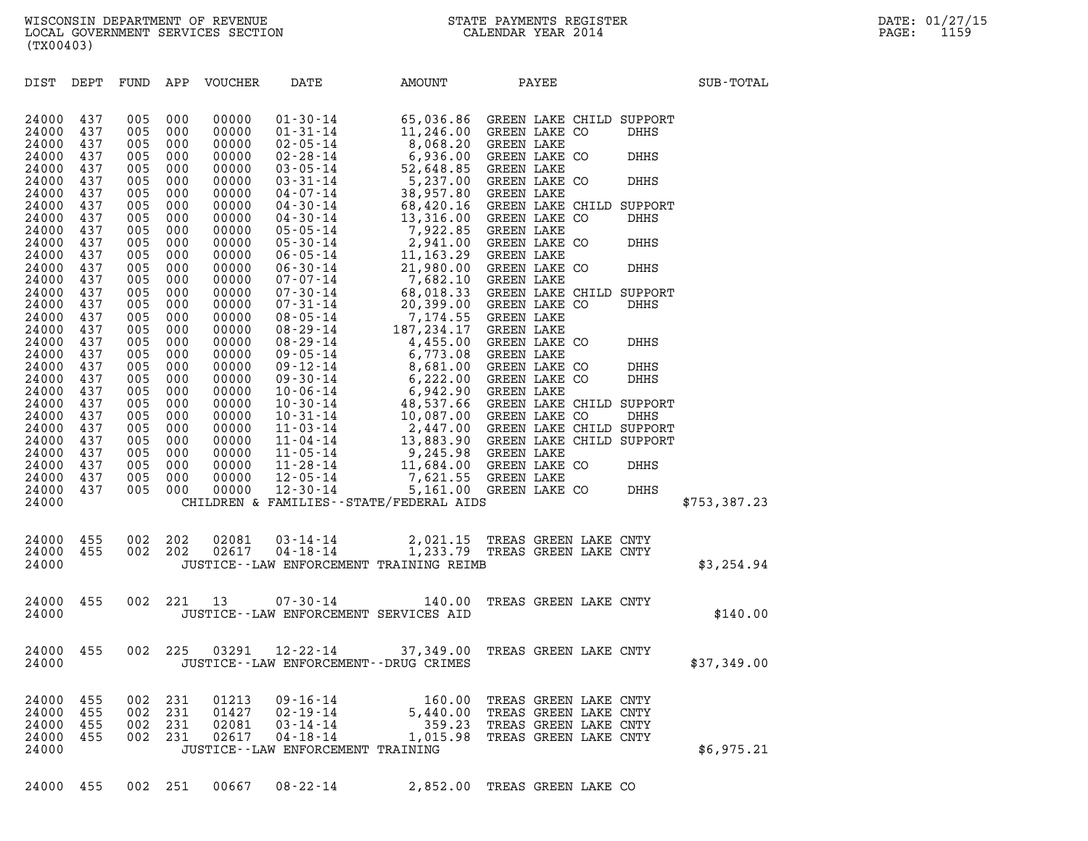(TX00403) DIST DEPT FUND APP VOUCHER DATE AMOUNT PAYEE SUB-TOTAL 24000 437 005 000 00000 01-30-14 65,036.86 GREEN LAKE CHILD SUPPORT 24000 437 005 000 00000 01-31-14 11,246.00 GREEN LAKE CO DHHS

| 24000 | 437 | 005     | 000     | 00000 |                                             | 01 - 30 - 14 = 1, 246.00 GREEN LAKE CO DHHS<br>02 - 31 - 14 = 1, 246.00 GREEN LAKE CO DHHS<br>02 - 28 - 14 = 6, 936.00 GREEN LAKE CO DHHS<br>02 - 28 - 14 = 6, 936.00 GREEN LAKE CO DHHS<br>03 - 05 - 14 = 52, 648.85 GREEN LAKE CO D |  |                       |              |  |
|-------|-----|---------|---------|-------|---------------------------------------------|---------------------------------------------------------------------------------------------------------------------------------------------------------------------------------------------------------------------------------------|--|-----------------------|--------------|--|
| 24000 | 437 | 005     | 000     | 00000 |                                             |                                                                                                                                                                                                                                       |  |                       |              |  |
| 24000 | 437 | 005     | 000     | 00000 |                                             |                                                                                                                                                                                                                                       |  |                       |              |  |
| 24000 | 437 | 005     | 000     | 00000 |                                             |                                                                                                                                                                                                                                       |  |                       |              |  |
| 24000 | 437 | 005     | 000     | 00000 |                                             |                                                                                                                                                                                                                                       |  |                       |              |  |
| 24000 | 437 | 005     | 000     | 00000 |                                             |                                                                                                                                                                                                                                       |  |                       |              |  |
| 24000 | 437 | 005     | 000     | 00000 |                                             |                                                                                                                                                                                                                                       |  |                       |              |  |
| 24000 | 437 | 005     | 000     | 00000 |                                             |                                                                                                                                                                                                                                       |  |                       |              |  |
| 24000 | 437 | 005     | 000     | 00000 |                                             |                                                                                                                                                                                                                                       |  |                       |              |  |
| 24000 | 437 | 005     | 000     | 00000 |                                             |                                                                                                                                                                                                                                       |  |                       |              |  |
| 24000 | 437 | 005     | 000     | 00000 |                                             |                                                                                                                                                                                                                                       |  |                       |              |  |
| 24000 | 437 | 005     | 000     | 00000 |                                             |                                                                                                                                                                                                                                       |  |                       |              |  |
| 24000 | 437 | 005     | 000     | 00000 |                                             |                                                                                                                                                                                                                                       |  |                       |              |  |
| 24000 | 437 | 005     | 000     | 00000 |                                             |                                                                                                                                                                                                                                       |  |                       |              |  |
| 24000 | 437 | 005     | 000     | 00000 |                                             |                                                                                                                                                                                                                                       |  |                       |              |  |
| 24000 | 437 | 005     | 000     | 00000 |                                             |                                                                                                                                                                                                                                       |  |                       |              |  |
| 24000 | 437 | 005     | 000     | 00000 |                                             |                                                                                                                                                                                                                                       |  |                       |              |  |
| 24000 | 437 | 005     | 000     | 00000 |                                             |                                                                                                                                                                                                                                       |  |                       |              |  |
| 24000 | 437 | 005     | 000     | 00000 |                                             |                                                                                                                                                                                                                                       |  |                       |              |  |
| 24000 | 437 | 005     | 000     | 00000 |                                             |                                                                                                                                                                                                                                       |  |                       |              |  |
| 24000 | 437 | 005     | 000     | 00000 |                                             |                                                                                                                                                                                                                                       |  |                       |              |  |
| 24000 | 437 | 005     | 000     | 00000 |                                             |                                                                                                                                                                                                                                       |  |                       |              |  |
| 24000 | 437 | 005     | 000     | 00000 |                                             |                                                                                                                                                                                                                                       |  |                       |              |  |
| 24000 | 437 | 005     | 000     | 00000 |                                             |                                                                                                                                                                                                                                       |  |                       |              |  |
| 24000 | 437 | 005     | 000     | 00000 |                                             |                                                                                                                                                                                                                                       |  |                       |              |  |
| 24000 | 437 | 005     | 000     | 00000 |                                             |                                                                                                                                                                                                                                       |  |                       |              |  |
| 24000 | 437 | 005     | 000     | 00000 |                                             |                                                                                                                                                                                                                                       |  |                       |              |  |
| 24000 | 437 | 005     | 000     | 00000 |                                             |                                                                                                                                                                                                                                       |  |                       |              |  |
| 24000 | 437 | 005     | 000     | 00000 |                                             |                                                                                                                                                                                                                                       |  |                       |              |  |
| 24000 | 437 | 005     | 000     | 00000 |                                             |                                                                                                                                                                                                                                       |  |                       |              |  |
| 24000 | 437 | 005     | 000     | 00000 |                                             |                                                                                                                                                                                                                                       |  |                       |              |  |
| 24000 |     |         |         |       |                                             | CHILDREN & FAMILIES - - STATE/FEDERAL AIDS                                                                                                                                                                                            |  |                       | \$753,387.23 |  |
|       |     |         |         |       |                                             |                                                                                                                                                                                                                                       |  |                       |              |  |
|       |     |         |         |       |                                             |                                                                                                                                                                                                                                       |  |                       |              |  |
| 24000 | 455 | 002 202 |         |       |                                             | $\begin{array}{cccc} 02081 & 03\cdot 14\cdot 14 & 2,021.15 & \text{TREAS GREFN LAKE CNTY} \\ 02617 & 04\cdot 18\cdot 14 & 1,233.79 & \text{TREAS GREFN LAKE CNTY} \end{array}$                                                        |  |                       |              |  |
| 24000 | 455 | 002 202 |         |       |                                             |                                                                                                                                                                                                                                       |  |                       |              |  |
| 24000 |     |         |         |       |                                             | JUSTICE - - LAW ENFORCEMENT TRAINING REIMB                                                                                                                                                                                            |  |                       | \$3,254.94   |  |
|       |     |         |         |       |                                             |                                                                                                                                                                                                                                       |  |                       |              |  |
| 24000 | 455 |         | 002 221 |       | 13 07-30-14                                 | 140.00                                                                                                                                                                                                                                |  | TREAS GREEN LAKE CNTY |              |  |
| 24000 |     |         |         |       | JUSTICE -- LAW ENFORCEMENT SERVICES AID     |                                                                                                                                                                                                                                       |  |                       | \$140.00     |  |
|       |     |         |         |       |                                             |                                                                                                                                                                                                                                       |  |                       |              |  |
|       |     |         |         |       |                                             |                                                                                                                                                                                                                                       |  |                       |              |  |
| 24000 | 455 | 002 225 |         | 03291 |                                             | 12-22-14 37,349.00 TREAS GREEN LAKE CNTY                                                                                                                                                                                              |  |                       |              |  |
| 24000 |     |         |         |       | JUSTICE - - LAW ENFORCEMENT - - DRUG CRIMES |                                                                                                                                                                                                                                       |  |                       | \$37,349.00  |  |
|       |     |         |         |       |                                             |                                                                                                                                                                                                                                       |  |                       |              |  |
|       |     |         |         |       |                                             |                                                                                                                                                                                                                                       |  |                       |              |  |
| 24000 | 455 | 002     | 231     | 01213 |                                             |                                                                                                                                                                                                                                       |  |                       |              |  |
| 24000 | 455 | 002     | 231     | 01427 |                                             |                                                                                                                                                                                                                                       |  |                       |              |  |
| 24000 | 455 | 002     | 231     | 02081 |                                             | 09-16-14 160.00 TREAS GREEN LAKE CNTY<br>02-19-14 5,440.00 TREAS GREEN LAKE CNTY<br>03-14-14 359.23 TREAS GREEN LAKE CNTY<br>04-18-14 1,015.98 TREAS GREEN LAKE CNTY                                                                  |  |                       |              |  |
| 24000 | 455 | 002 231 |         | 02617 |                                             |                                                                                                                                                                                                                                       |  |                       |              |  |
| 24000 |     |         |         |       | JUSTICE - - LAW ENFORCEMENT TRAINING        |                                                                                                                                                                                                                                       |  |                       | \$6,975.21   |  |
|       |     |         |         |       |                                             |                                                                                                                                                                                                                                       |  |                       |              |  |
| 24000 | 455 | 002     | 251     | 00667 | $08 - 22 - 14$                              | 2,852.00 TREAS GREEN LAKE CO                                                                                                                                                                                                          |  |                       |              |  |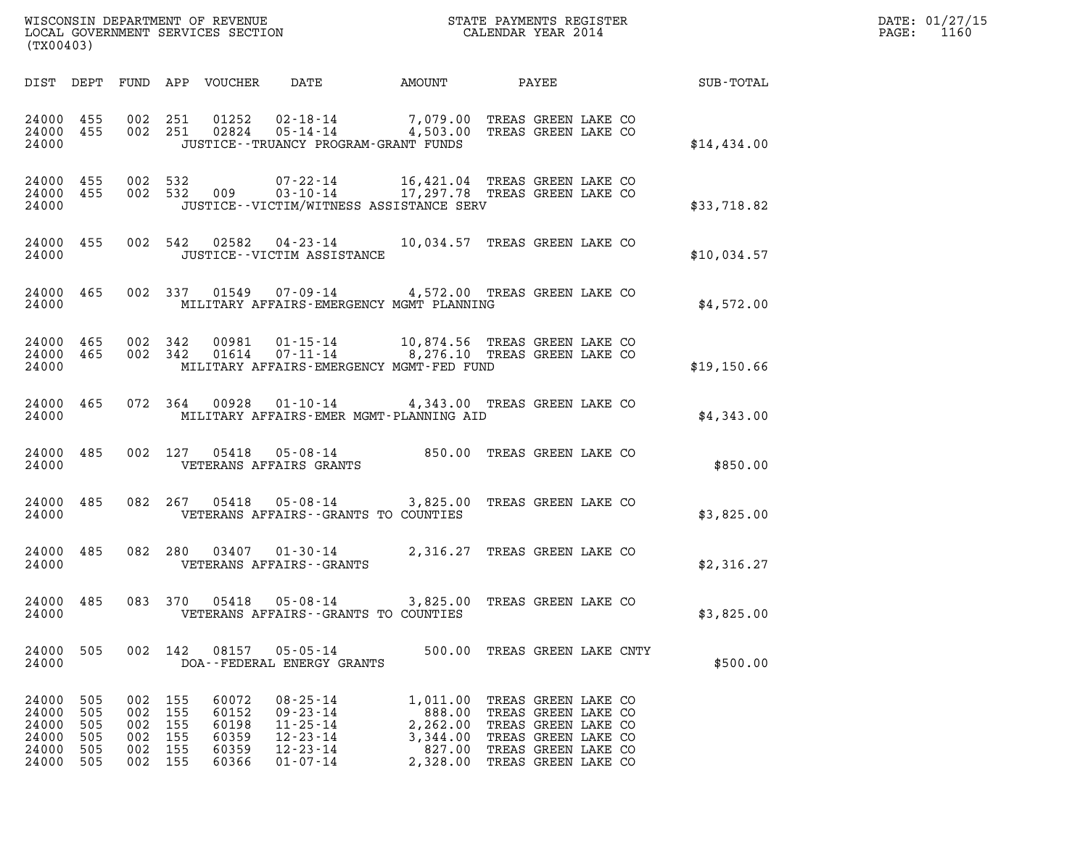| WISCONSIN DEPARTMENT OF REVENUE   | STATE PAYMENTS REGISTER | DATE: 01/27/15 |
|-----------------------------------|-------------------------|----------------|
| LOCAL GOVERNMENT SERVICES SECTION | CALENDAR YEAR 2014      | 1160<br>PAGE:  |

| (TX00403)                                              |                                 |                                                                |                                                    | WISCONSIN DEPARTMENT OF REVENUE<br>LOCAL GOVERNMENT SERVICES SECTION THE SERVICES OF CALENDAR YEAR 2014                                                                                                                                                                              |                                                                  |                                                                                                                                        |  | $\mathbb{E} \mathbb{R}^n$ | DATE: 01/27/15<br>PAGE: 1160 |
|--------------------------------------------------------|---------------------------------|----------------------------------------------------------------|----------------------------------------------------|--------------------------------------------------------------------------------------------------------------------------------------------------------------------------------------------------------------------------------------------------------------------------------------|------------------------------------------------------------------|----------------------------------------------------------------------------------------------------------------------------------------|--|---------------------------|------------------------------|
|                                                        |                                 |                                                                |                                                    | DIST DEPT FUND APP VOUCHER DATE AMOUNT PAYEE PAYER SUB-TOTAL                                                                                                                                                                                                                         |                                                                  |                                                                                                                                        |  |                           |                              |
|                                                        |                                 |                                                                |                                                    | $\begin{array}{cccccc} 24000& 455& 002& 251& 01252& 02\cdot 18\cdot 14& & & 7\,,079\,.00& \text{TREAS GREEN LAKE CO} \\ 24000& 455& 002& 251& 02824& 05\cdot 14\cdot 14& & & 4\,,503\,.00& \text{TREAS GREEN LAKE CO} \end{array}$<br>24000 JUSTICE - TRUANCY PROGRAM - GRANT FUNDS  |                                                                  |                                                                                                                                        |  | \$14,434.00               |                              |
| 24000 455<br>24000 455<br>24000                        |                                 |                                                                |                                                    | JUSTICE - - VICTIM/WITNESS ASSISTANCE SERV                                                                                                                                                                                                                                           |                                                                  |                                                                                                                                        |  | \$33,718.82               |                              |
|                                                        |                                 |                                                                |                                                    | 24000 455 002 542 02582 04-23-14 10,034.57 TREAS GREEN LAKE CO<br>24000 JUSTICE - VICTIM ASSISTANCE                                                                                                                                                                                  |                                                                  |                                                                                                                                        |  | \$10,034.57               |                              |
|                                                        |                                 |                                                                |                                                    | 24000 465 002 337 01549 07-09-14 4,572.00 TREAS GREEN LAKE CO<br>24000 MILITARY AFFAIRS-EMERGENCY MGMT PLANNING                                                                                                                                                                      |                                                                  |                                                                                                                                        |  | \$4,572.00                |                              |
|                                                        |                                 |                                                                |                                                    | $\begin{array}{cccccccc} 24000& 465& 002& 342& 00981& 01\text{-}15\text{-}14& & 10,874.56 & \text{TREAS GREEN LAKE CO}\\ 24000& 465& 002& 342& 01614& 07\text{-}11\text{-}14& & 8,276.10 & \text{TREAS GREEN LAKE CO} \end{array}$<br>24000 MILITARY AFFAIRS-EMERGENCY MGMT-FED FUND |                                                                  |                                                                                                                                        |  | \$19,150.66               |                              |
|                                                        |                                 |                                                                |                                                    | 24000 465 072 364 00928 01-10-14 4,343.00 TREAS GREEN LAKE CO<br>24000 MILITARY AFFAIRS-EMER MGMT-PLANNING AID                                                                                                                                                                       |                                                                  |                                                                                                                                        |  | \$4,343.00                |                              |
|                                                        |                                 |                                                                |                                                    | $\begin{tabular}{lllllll} 24000& 485& 002& 127& 05418& 05-08-14& & 850.00 & \text{TREAS GREEN LAKE CO}\\ 24000 & & \text{VETERANS AFFAIRS GRANTS} & & & & & \\ \end{tabular}$                                                                                                        |                                                                  |                                                                                                                                        |  | \$850.00                  |                              |
|                                                        |                                 |                                                                |                                                    | 24000 485 082 267 05418 05-08-14 3,825.00 TREAS GREEN LAKE CO<br>24000 VETERANS AFFAIRS - GRANTS TO COUNTIES                                                                                                                                                                         |                                                                  |                                                                                                                                        |  | \$3,825.00                |                              |
|                                                        |                                 |                                                                |                                                    | $24000$ $485$ $082$ $280$ $03407$ $01\mbox{-}30\mbox{-}14$ $2,316.27$ TREAS GREEN LAKE CO $24000$ $\,$ VETERANS AFFAIRS - GRANTS                                                                                                                                                     |                                                                  |                                                                                                                                        |  | \$2,316.27                |                              |
| 24000                                                  |                                 |                                                                |                                                    | 24000 485 083 370 05418 05-08-14 3,825.00 TREAS GREEN LAKE CO<br>VETERANS AFFAIRS -- GRANTS TO COUNTIES                                                                                                                                                                              |                                                                  |                                                                                                                                        |  | \$3,825.00                |                              |
| 24000<br>24000                                         | 505                             |                                                                |                                                    | 002 142 08157 05-05-14 500.00 TREAS GREEN LAKE CNTY<br>DOA--FEDERAL ENERGY GRANTS                                                                                                                                                                                                    |                                                                  |                                                                                                                                        |  | \$500.00                  |                              |
| 24000<br>24000<br>24000<br>24000<br>24000<br>24000 505 | 505<br>505<br>505<br>505<br>505 | 002 155<br>002 155<br>002 155<br>002 155<br>002 155<br>002 155 | 60072<br>60152<br>60198<br>60359<br>60359<br>60366 | $08 - 25 - 14$<br>$09 - 23 - 14$<br>$11 - 25 - 14$<br>$12 - 23 - 14$<br>$12 - 23 - 14$<br>$01 - 07 - 14$                                                                                                                                                                             | 1,011.00<br>888.00<br>2,262.00<br>3,344.00<br>827.00<br>2,328.00 | TREAS GREEN LAKE CO<br>TREAS GREEN LAKE CO<br>TREAS GREEN LAKE CO<br>TREAS GREEN LAKE CO<br>TREAS GREEN LAKE CO<br>TREAS GREEN LAKE CO |  |                           |                              |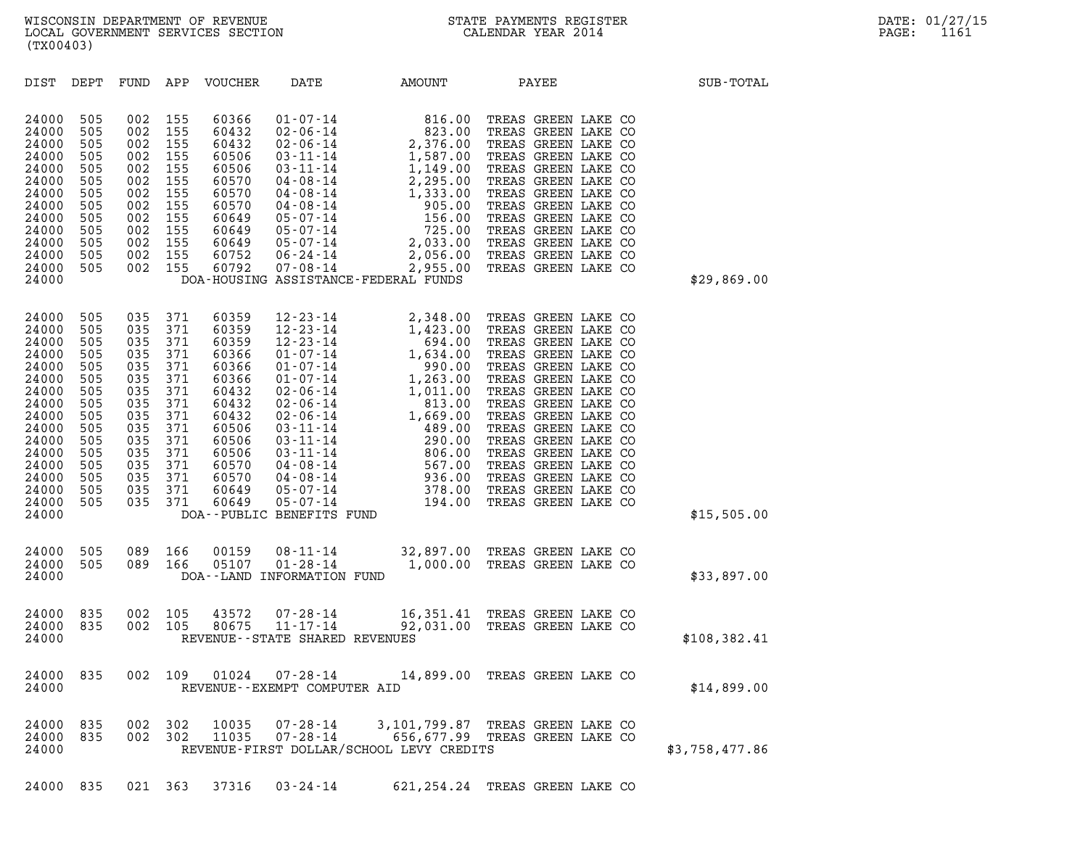| (TX00403)                                                                                                                                             |                                                                                                              |                                                                                                              |                                                                                                              |                                                                                                                                              |                                                                |                                                                                  |                                |                |
|-------------------------------------------------------------------------------------------------------------------------------------------------------|--------------------------------------------------------------------------------------------------------------|--------------------------------------------------------------------------------------------------------------|--------------------------------------------------------------------------------------------------------------|----------------------------------------------------------------------------------------------------------------------------------------------|----------------------------------------------------------------|----------------------------------------------------------------------------------|--------------------------------|----------------|
| DIST                                                                                                                                                  | DEPT                                                                                                         | FUND                                                                                                         | APP                                                                                                          | VOUCHER                                                                                                                                      | DATE                                                           | AMOUNT                                                                           | PAYEE                          | SUB-TOTAL      |
| 24000<br>24000<br>24000<br>24000<br>24000<br>24000<br>24000<br>24000<br>24000<br>24000<br>24000<br>24000<br>24000<br>24000                            | 505<br>505<br>505<br>505<br>505<br>505<br>505<br>505<br>505<br>505<br>505<br>505<br>505                      | 002<br>002<br>002<br>002<br>002<br>002<br>002<br>002<br>002<br>002<br>002<br>002<br>002                      | 155<br>155<br>155<br>155<br>155<br>155<br>155<br>155<br>155<br>155<br>155<br>155<br>155                      | 60366<br>60432<br>60432<br>60506<br>60506<br>60570<br>60570<br>60570<br>60649<br>60649<br>60649<br>60752<br>60792                            | 05-07-14<br>05-07-14<br>06-24-14<br>07-08-14                   | DOA-HOUSING ASSISTANCE-FEDERAL FUNDS                                             |                                | \$29,869.00    |
| 24000<br>24000<br>24000<br>24000<br>24000<br>24000<br>24000<br>24000<br>24000<br>24000<br>24000<br>24000<br>24000<br>24000<br>24000<br>24000<br>24000 | 505<br>505<br>505<br>505<br>505<br>505<br>505<br>505<br>505<br>505<br>505<br>505<br>505<br>505<br>505<br>505 | 035<br>035<br>035<br>035<br>035<br>035<br>035<br>035<br>035<br>035<br>035<br>035<br>035<br>035<br>035<br>035 | 371<br>371<br>371<br>371<br>371<br>371<br>371<br>371<br>371<br>371<br>371<br>371<br>371<br>371<br>371<br>371 | 60359<br>60359<br>60359<br>60366<br>60366<br>60366<br>60432<br>60432<br>60432<br>60506<br>60506<br>60506<br>60570<br>60570<br>60649<br>60649 | DOA--PUBLIC BENEFITS FUND                                      |                                                                                  |                                | \$15,505.00    |
| 24000<br>24000<br>24000                                                                                                                               | 505<br>505                                                                                                   | 089<br>089                                                                                                   | 166<br>166                                                                                                   | 00159<br>05107                                                                                                                               | $08 - 11 - 14$<br>$01 - 28 - 14$<br>DOA--LAND INFORMATION FUND | 1,000.00 TREAS GREEN LAKE CO                                                     | 32,897.00 TREAS GREEN LAKE CO  | \$33,897.00    |
| 24000<br>24000<br>24000                                                                                                                               | 835<br>835                                                                                                   | 002<br>002                                                                                                   | 105<br>105                                                                                                   | 43572<br>80675                                                                                                                               | REVENUE - - STATE SHARED REVENUES                              | 07-28-14 16,351.41 TREAS GREEN LAKE CO<br>11-17-14 92,031.00 TREAS GREEN LAKE CO |                                | \$108,382.41   |
| 24000<br>24000                                                                                                                                        | 835                                                                                                          | 002                                                                                                          | 109                                                                                                          | 01024                                                                                                                                        | 07-28-14<br>REVENUE--EXEMPT COMPUTER AID                       |                                                                                  | 14,899.00 TREAS GREEN LAKE CO  | \$14,899.00    |
| 24000<br>24000<br>24000                                                                                                                               | 835<br>835                                                                                                   | 002<br>002                                                                                                   | 302<br>302                                                                                                   | 10035<br>11035                                                                                                                               | $07 - 28 - 14$<br>$07 - 28 - 14$                               | 3,101,799.87 TREAS GREEN LAKE CO<br>REVENUE-FIRST DOLLAR/SCHOOL LEVY CREDITS     | 656,677.99 TREAS GREEN LAKE CO | \$3,758,477.86 |

24000 835 021 363 37316 03-24-14 621,254.24 TREAS GREEN LAKE CO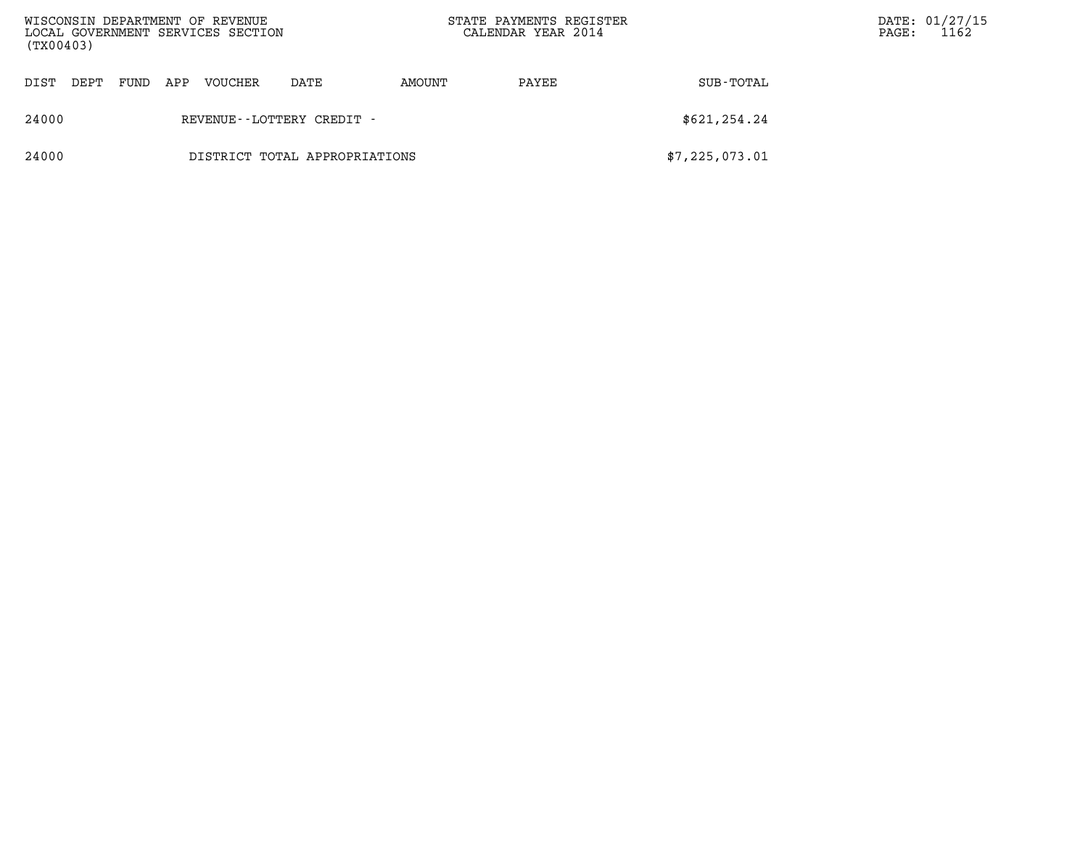| (TX00403) |                               |      |     | WISCONSIN DEPARTMENT OF REVENUE<br>LOCAL GOVERNMENT SERVICES SECTION |                           | STATE PAYMENTS REGISTER<br>CALENDAR YEAR 2014 |       | $\mathtt{PAGE}$ : | DATE: 01/27/15<br>1162 |  |
|-----------|-------------------------------|------|-----|----------------------------------------------------------------------|---------------------------|-----------------------------------------------|-------|-------------------|------------------------|--|
| DIST      | DEPT                          | FUND | APP | VOUCHER                                                              | DATE                      | AMOUNT                                        | PAYEE | SUB-TOTAL         |                        |  |
| 24000     |                               |      |     |                                                                      | REVENUE--LOTTERY CREDIT - |                                               |       | \$621, 254.24     |                        |  |
| 24000     | DISTRICT TOTAL APPROPRIATIONS |      |     |                                                                      |                           |                                               |       | \$7,225,073.01    |                        |  |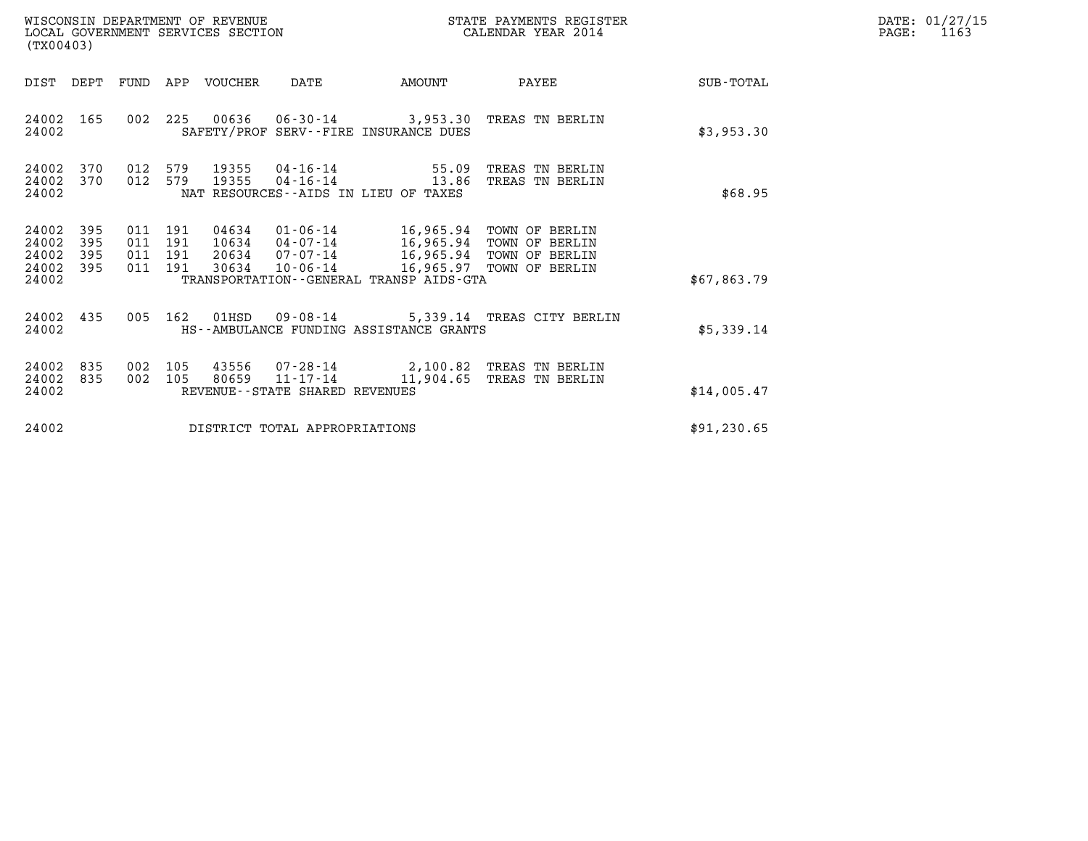| (TX00403)                                 |                          |                          |                          | WISCONSIN DEPARTMENT OF REVENUE<br>LOCAL GOVERNMENT SERVICES SECTION |                                              |                                                           | STATE PAYMENTS REGISTER<br>CALENDAR YEAR 2014                                                      |             | DATE: 01/27/15<br>PAGE:<br>1163 |
|-------------------------------------------|--------------------------|--------------------------|--------------------------|----------------------------------------------------------------------|----------------------------------------------|-----------------------------------------------------------|----------------------------------------------------------------------------------------------------|-------------|---------------------------------|
|                                           | DIST DEPT                | FUND                     |                          | APP VOUCHER                                                          | DATE                                         | AMOUNT                                                    | PAYEE                                                                                              | SUB-TOTAL   |                                 |
| 24002<br>24002                            | 165                      | 002                      | 225                      |                                                                      |                                              | SAFETY/PROF SERV--FIRE INSURANCE DUES                     | 00636  06-30-14  3,953.30  TREAS TN BERLIN                                                         | \$3,953.30  |                                 |
| 24002<br>24002<br>24002                   | 370<br>370               | 012<br>012               | 579<br>579               | 19355<br>19355                                                       | 04-16-14<br>04-16-14                         | 55.09<br>13.86<br>NAT RESOURCES - AIDS IN LIEU OF TAXES   | TREAS TN BERLIN<br>TREAS TN BERLIN                                                                 | \$68.95     |                                 |
| 24002<br>24002<br>24002<br>24002<br>24002 | 395<br>395<br>395<br>395 | 011<br>011<br>011<br>011 | 191<br>191<br>191<br>191 | 04634<br>10634<br>20634<br>30634                                     | 01-06-14<br>04-07-14<br>07-07-14<br>10-06-14 | 16,965.94<br>TRANSPORTATION - - GENERAL TRANSP AIDS - GTA | 16,965.94 TOWN OF BERLIN<br>TOWN OF BERLIN<br>16,965.94 TOWN OF BERLIN<br>16,965.97 TOWN OF BERLIN | \$67,863.79 |                                 |
| 24002<br>24002                            | 435                      | 005                      | 162                      | 01HSD                                                                |                                              | HS--AMBULANCE FUNDING ASSISTANCE GRANTS                   | 09-08-14 5,339.14 TREAS CITY BERLIN                                                                | \$5,339.14  |                                 |
| 24002<br>24002<br>24002                   | 835<br>835               | 002<br>002               | 105<br>105               | 43556<br>80659                                                       | 07-28-14<br>REVENUE--STATE SHARED REVENUES   |                                                           | 2,100.82 TREAS TN BERLIN<br>11-17-14 11,904.65 TREAS TN BERLIN                                     | \$14,005.47 |                                 |

24002 DISTRICT TOTAL APPROPRIATIONS \$91,230.65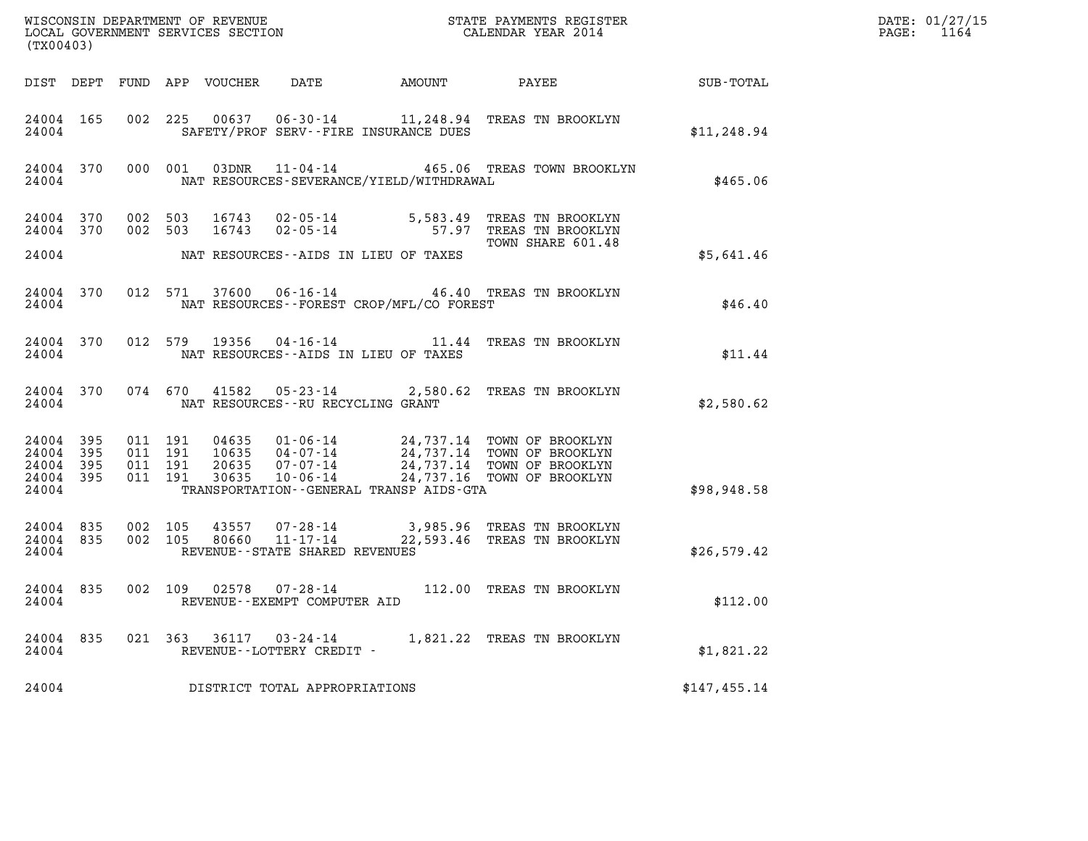| (TX00403)                                    |           |                               |         |                |                                                     |                                             | %WISCONSIN DEPARTMENT OF REVENUE $$\tt STATE$ PAYMENTS REGISTER LOCAL GOVERNMENT SERVICES SECTION $$\tt CALENDAR$ YEAR 2014                                                              |              | DATE: 01/27/15<br>$\mathtt{PAGE:}$<br>1164 |
|----------------------------------------------|-----------|-------------------------------|---------|----------------|-----------------------------------------------------|---------------------------------------------|------------------------------------------------------------------------------------------------------------------------------------------------------------------------------------------|--------------|--------------------------------------------|
|                                              |           |                               |         |                |                                                     |                                             |                                                                                                                                                                                          |              |                                            |
| 24004                                        | 24004 165 |                               |         |                |                                                     | SAFETY/PROF SERV--FIRE INSURANCE DUES       | 002 225 00637 06-30-14 11,248.94 TREAS TN BROOKLYN                                                                                                                                       | \$11, 248.94 |                                            |
| 24004                                        |           |                               |         |                |                                                     | NAT RESOURCES-SEVERANCE/YIELD/WITHDRAWAL    | 24004 370 000 001 03DNR 11-04-14 465.06 TREAS TOWN BROOKLYN                                                                                                                              | \$465.06     |                                            |
| 24004 370                                    | 24004 370 | 002 503<br>002 503            |         |                |                                                     | 24004 NAT RESOURCES--AIDS IN LIEU OF TAXES  | 16743  02-05-14  5,583.49  TREAS TN BROOKLYN<br>16743  02-05-14  57.97  TREAS TN BROOKLYN<br>TOWN SHARE 601.48                                                                           | \$5,641.46   |                                            |
|                                              |           |                               |         |                |                                                     |                                             | 24004 370 012 571 37600 06-16-14 46.40 TREAS TN BROOKLYN                                                                                                                                 |              |                                            |
|                                              |           | 24004                         |         |                |                                                     | NAT RESOURCES - - FOREST CROP/MFL/CO FOREST |                                                                                                                                                                                          | \$46.40      |                                            |
|                                              |           | 24004                         |         |                |                                                     | NAT RESOURCES--AIDS IN LIEU OF TAXES        | 24004 370 012 579 19356 04-16-14 11.44 TREAS TN BROOKLYN                                                                                                                                 | \$11.44      |                                            |
|                                              |           |                               |         |                | 24004 NAT RESOURCES--RU RECYCLING GRANT             |                                             | 24004 370 074 670 41582 05-23-14 2,580.62 TREAS TN BROOKLYN                                                                                                                              | \$2,580.62   |                                            |
| 24004 395<br>24004 395<br>24004 395<br>24004 | 24004 395 | 011 191<br>011 191<br>011 191 | 011 191 |                |                                                     | TRANSPORTATION--GENERAL TRANSP AIDS-GTA     | 04635  01-06-14  24,737.14 TOWN OF BROOKLYN<br>10635  04-07-14  24,737.14 TOWN OF BROOKLYN<br>20635  07-07-14  24,737.14 TOWN OF BROOKLYN<br>30635  10-06-14  24,737.16 TOWN OF BROOKLYN | \$98,948.58  |                                            |
| 24004 835<br>24004                           | 24004 835 | 002 105<br>002 105            |         | 43557<br>80660 | REVENUE--STATE SHARED REVENUES                      |                                             | 07-28-14 3,985.96 TREAS TN BROOKLYN<br>11-17-14 22,593.46 TREAS TN BROOKLYN                                                                                                              | \$26,579.42  |                                            |
| 24004                                        |           |                               |         |                | REVENUE - - EXEMPT COMPUTER AID                     |                                             | 24004 835 002 109 02578 07-28-14 112.00 TREAS TN BROOKLYN                                                                                                                                | \$112.00     |                                            |
| 24004 835<br>24004                           |           |                               |         |                | 021 363 36117 03-24-14<br>REVENUE--LOTTERY CREDIT - |                                             | 1,821.22 TREAS TN BROOKLYN                                                                                                                                                               | \$1,821.22   |                                            |
| 24004                                        |           |                               |         |                | DISTRICT TOTAL APPROPRIATIONS                       |                                             |                                                                                                                                                                                          | \$147,455.14 |                                            |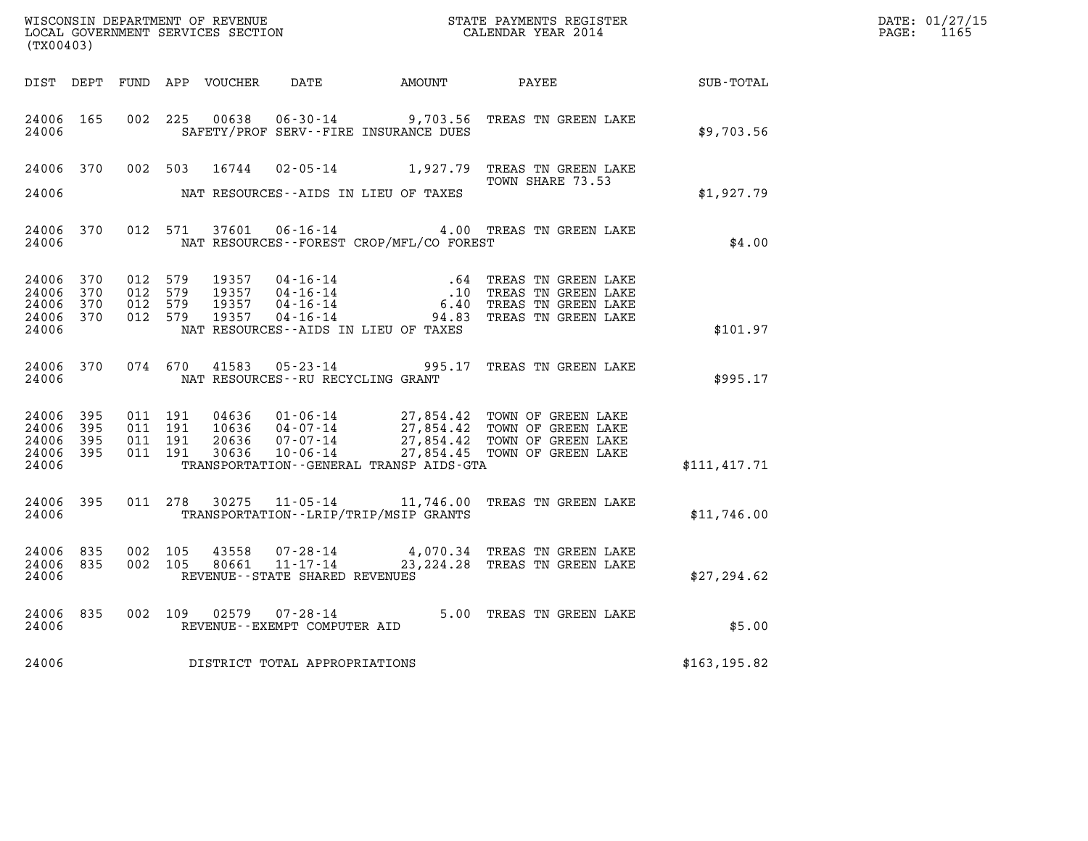| DATE: | 01/27/15 |
|-------|----------|
| PAGE: | 1165     |

| (TX00403)                                    |                  |                                                    |  |                                   |                                          |                                                                                                                                                                                          |               | DATE: 01/27/15<br>$\mathtt{PAGE:}$<br>1165 |
|----------------------------------------------|------------------|----------------------------------------------------|--|-----------------------------------|------------------------------------------|------------------------------------------------------------------------------------------------------------------------------------------------------------------------------------------|---------------|--------------------------------------------|
|                                              |                  |                                                    |  |                                   |                                          | DIST DEPT FUND APP VOUCHER DATE AMOUNT PAYEE PATE SUB-TOTAL                                                                                                                              |               |                                            |
| 24006                                        | 24006 165        |                                                    |  |                                   | SAFETY/PROF SERV--FIRE INSURANCE DUES    | 002 225 00638 06-30-14 9,703.56 TREAS TN GREEN LAKE                                                                                                                                      | \$9,703.56    |                                            |
| 24006                                        |                  |                                                    |  |                                   | NAT RESOURCES--AIDS IN LIEU OF TAXES     | 24006 370 002 503 16744 02-05-14 1,927.79 TREAS TN GREEN LAKE<br>TOWN SHARE 73.53                                                                                                        | \$1,927.79    |                                            |
| 24006                                        |                  |                                                    |  |                                   | NAT RESOURCES--FOREST CROP/MFL/CO FOREST | 24006 370 012 571 37601 06-16-14 4.00 TREAS TN GREEN LAKE                                                                                                                                | \$4.00        |                                            |
| 24006 370<br>24006 370<br>24006 370<br>24006 | 24006 370        | 012 579<br>012 579<br>012 579<br>012 579           |  |                                   | NAT RESOURCES--AIDS IN LIEU OF TAXES     |                                                                                                                                                                                          | \$101.97      |                                            |
| 24006 370<br>24006                           |                  |                                                    |  | NAT RESOURCES--RU RECYCLING GRANT |                                          | 074 670 41583 05-23-14 995.17 TREAS TN GREEN LAKE                                                                                                                                        | \$995.17      |                                            |
| 24006 395<br>24006<br>24006                  | 395<br>24006 395 | 011 191<br>011 191<br>24006 395 011 191<br>011 191 |  |                                   | TRANSPORTATION--GENERAL TRANSP AIDS-GTA  | 04636 01-06-14 27,854.42 TOWN OF GREEN LAKE<br>10636 04-07-14 27,854.42 TOWN OF GREEN LAKE<br>20636 07-07-14 27,854.42 TOWN OF GREEN LAKE<br>30636 10-06-14 27,854.45 TOWN OF GREEN LAKE | \$111, 417.71 |                                            |
| 24006 2400                                   |                  |                                                    |  |                                   | TRANSPORTATION - - LRIP/TRIP/MSIP GRANTS | 24006 395 011 278 30275 11-05-14 11,746.00 TREAS TN GREEN LAKE                                                                                                                           | \$11,746.00   |                                            |
| 24006                                        | 24006 835        | 24006 835 002 105<br>002 105                       |  | REVENUE - - STATE SHARED REVENUES |                                          | $\begin{array}{cccc} 43558 & 07\text{-}28\text{-}14 & 4,070.34 & \text{TREAS TN GREEN LAKE} \\ 80661 & 11\text{-}17\text{-}14 & 23,224.28 & \text{TREAS TN GREEN LAKE} \end{array}$      | \$27,294.62   |                                            |
| 24006                                        | 24006 835        |                                                    |  | REVENUE--EXEMPT COMPUTER AID      |                                          | 002 109 02579 07-28-14 5.00 TREAS TN GREEN LAKE                                                                                                                                          | \$5.00        |                                            |
| 24006                                        |                  |                                                    |  | DISTRICT TOTAL APPROPRIATIONS     |                                          |                                                                                                                                                                                          | \$163, 195.82 |                                            |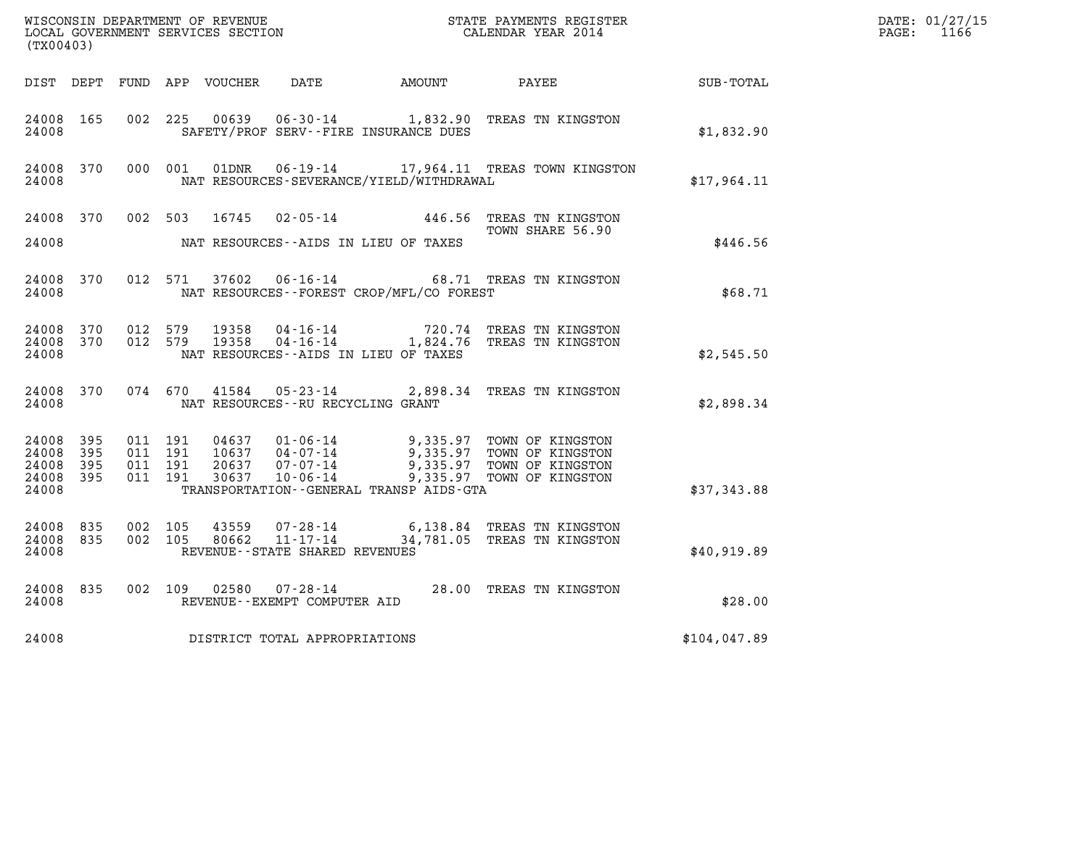| WISCONSIN DEPARTMENT OF REVENUE<br>LOCAL GOVERNMENT SERVICES SECTION<br>(TX00403) |                            |                                          |         |                            |                                                           |                                                                 | STATE PAYMENTS REGISTER<br>CALENDAR YEAR 2014                                                                    |              | DATE: 01/27/15<br>$\mathtt{PAGE:}$<br>1166 |
|-----------------------------------------------------------------------------------|----------------------------|------------------------------------------|---------|----------------------------|-----------------------------------------------------------|-----------------------------------------------------------------|------------------------------------------------------------------------------------------------------------------|--------------|--------------------------------------------|
|                                                                                   |                            |                                          |         | DIST DEPT FUND APP VOUCHER | DATE                                                      | AMOUNT PAYEE                                                    |                                                                                                                  | SUB-TOTAL    |                                            |
| 24008 165<br>24008                                                                |                            | 002 225                                  |         | 00639                      | $06 - 30 - 14$                                            | SAFETY/PROF SERV--FIRE INSURANCE DUES                           | 1,832.90 TREAS TN KINGSTON                                                                                       | \$1,832.90   |                                            |
| 24008 370<br>24008                                                                |                            |                                          | 000 001 | 01DNR                      |                                                           | NAT RESOURCES-SEVERANCE/YIELD/WITHDRAWAL                        | 06-19-14 17,964.11 TREAS TOWN KINGSTON                                                                           | \$17,964.11  |                                            |
| 24008 370<br>24008                                                                |                            | 002 503                                  |         | 16745                      |                                                           | $02 - 05 - 14$ 446.56<br>NAT RESOURCES -- AIDS IN LIEU OF TAXES | TREAS TN KINGSTON<br>TOWN SHARE 56.90                                                                            | \$446.56     |                                            |
| 24008 370<br>24008                                                                |                            | 012 571                                  |         | 37602                      | $06 - 16 - 14$                                            | NAT RESOURCES--FOREST CROP/MFL/CO FOREST                        | 68.71 TREAS TN KINGSTON                                                                                          | \$68.71      |                                            |
| 24008 370<br>24008 370<br>24008                                                   |                            | 012 579<br>012 579                       |         | 19358<br>19358             | 04-16-14                                                  | NAT RESOURCES -- AIDS IN LIEU OF TAXES                          | 720.74 TREAS TN KINGSTON<br>04-16-14 1,824.76 TREAS TN KINGSTON                                                  | \$2,545.50   |                                            |
| 24008 370<br>24008                                                                |                            | 074 670                                  |         | 41584                      | NAT RESOURCES--RU RECYCLING GRANT                         |                                                                 | 05-23-14 2,898.34 TREAS TN KINGSTON                                                                              | \$2,898.34   |                                            |
| 24008<br>24008<br>24008<br>24008<br>24008                                         | 395<br>395<br>395<br>- 395 | 011 191<br>011 191<br>011 191<br>011 191 |         | 10637<br>20637<br>30637    | $04 - 07 - 14$<br>07-07-14<br>10-06-14                    | TRANSPORTATION - - GENERAL TRANSP AIDS - GTA                    | 9,335.97 TOWN OF KINGSTON<br>9,335.97 TOWN OF KINGSTON<br>9,335.97 TOWN OF KINGSTON<br>9,335.97 TOWN OF KINGSTON | \$37,343.88  |                                            |
| 24008<br>24008<br>24008                                                           | 835<br>835                 | 002 105<br>002 105                       |         | 43559<br>80662             | 07-28-14<br>11-17-14<br>REVENUE - - STATE SHARED REVENUES |                                                                 | 6,138.84 TREAS TN KINGSTON<br>34,781.05 TREAS TN KINGSTON                                                        | \$40,919.89  |                                            |
| 24008 835<br>24008                                                                |                            | 002 109                                  |         | 02580                      | $07 - 28 - 14$<br>REVENUE--EXEMPT COMPUTER AID            |                                                                 | 28.00 TREAS TN KINGSTON                                                                                          | \$28.00      |                                            |
| 24008                                                                             |                            |                                          |         |                            | DISTRICT TOTAL APPROPRIATIONS                             |                                                                 |                                                                                                                  | \$104,047.89 |                                            |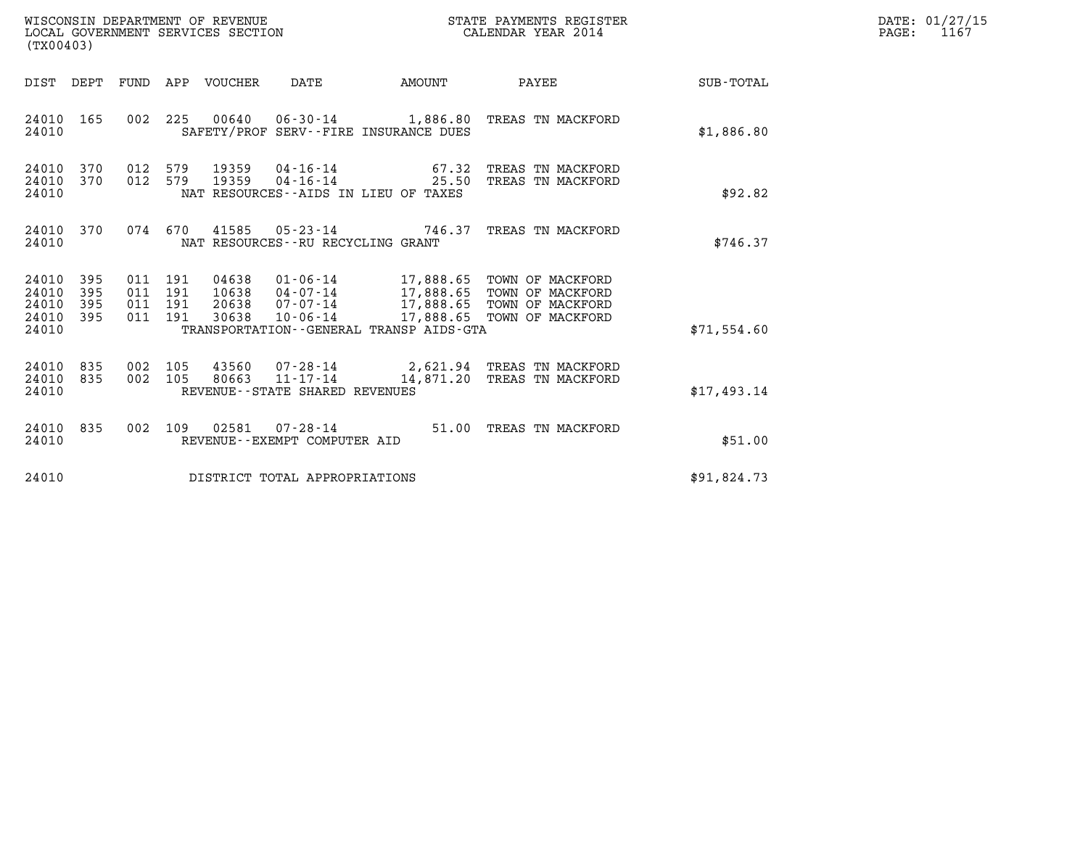| WISCONSIN DEPARTMENT OF REVENUE<br>LOCAL GOVERNMENT SERVICES SECTION<br>. | STATE PAYMENTS REGISTER<br>CALENDAR YEAR 2014 | DATE: 01/27/15<br>PAGE: |
|---------------------------------------------------------------------------|-----------------------------------------------|-------------------------|

| WISCONSIN DEPARTMENT OF REVENUE<br>LOCAL GOVERNMENT SERVICES SECTION<br>(TX00403)                 | STATE PAYMENTS REGISTER<br>CALENDAR YEAR 2014                                                                                                                       |                |                                                                                                            |                  |
|---------------------------------------------------------------------------------------------------|---------------------------------------------------------------------------------------------------------------------------------------------------------------------|----------------|------------------------------------------------------------------------------------------------------------|------------------|
| DIST<br>DEPT<br>FUND                                                                              | APP<br>VOUCHER<br>DATE                                                                                                                                              | AMOUNT         | PAYEE                                                                                                      | <b>SUB-TOTAL</b> |
| 165<br>002<br>24010<br>24010                                                                      | 225<br>00640  06-30-14  1,886.80 TREAS TN MACKFORD<br>SAFETY/PROF SERV--FIRE INSURANCE DUES                                                                         |                |                                                                                                            | \$1,886.80       |
| 370<br>012<br>24010<br>370<br>24010<br>012<br>24010                                               | $04 - 16 - 14$<br>579<br>19359<br>579<br>19359<br>$04 - 16 - 14$<br>NAT RESOURCES - AIDS IN LIEU OF TAXES                                                           | 67.32<br>25.50 | TREAS TN MACKFORD<br>TREAS TN MACKFORD                                                                     | \$92.82          |
| 24010<br>370<br>074<br>24010                                                                      | 670<br>41585<br>05-23-14 746.37<br>NAT RESOURCES - - RU RECYCLING GRANT                                                                                             |                | TREAS TN MACKFORD                                                                                          | \$746.37         |
| 24010<br>395<br>011<br>395<br>24010<br>011<br>24010<br>395<br>011<br>395<br>24010<br>011<br>24010 | 04638<br>$01 - 06 - 14$<br>191<br>191<br>10638<br>04-07-14<br>20638<br>$07 - 07 - 14$<br>191<br>30638<br>191<br>10-06-14<br>TRANSPORTATION--GENERAL TRANSP AIDS-GTA | 17,888.65      | 17,888.65 TOWN OF MACKFORD<br>17,888.65 TOWN OF MACKFORD<br>17,888.65 TOWN OF MACKFORD<br>TOWN OF MACKFORD | \$71,554.60      |
| 835<br>002<br>24010<br>24010<br>835<br>002<br>24010                                               | 43560<br>105<br>105<br>$11 - 17 - 14$<br>80663<br>REVENUE - - STATE SHARED REVENUES                                                                                 | 14,871.20      | 07-28-14 2,621.94 TREAS TN MACKFORD<br>TREAS TN MACKFORD                                                   | \$17,493.14      |
| 24010<br>835<br>002<br>24010                                                                      | 109<br>02581<br>$07 - 28 - 14$<br>REVENUE--EXEMPT COMPUTER AID                                                                                                      | 51.00          | TREAS TN MACKFORD                                                                                          | \$51.00          |
| 24010                                                                                             | DISTRICT TOTAL APPROPRIATIONS                                                                                                                                       |                |                                                                                                            | \$91,824.73      |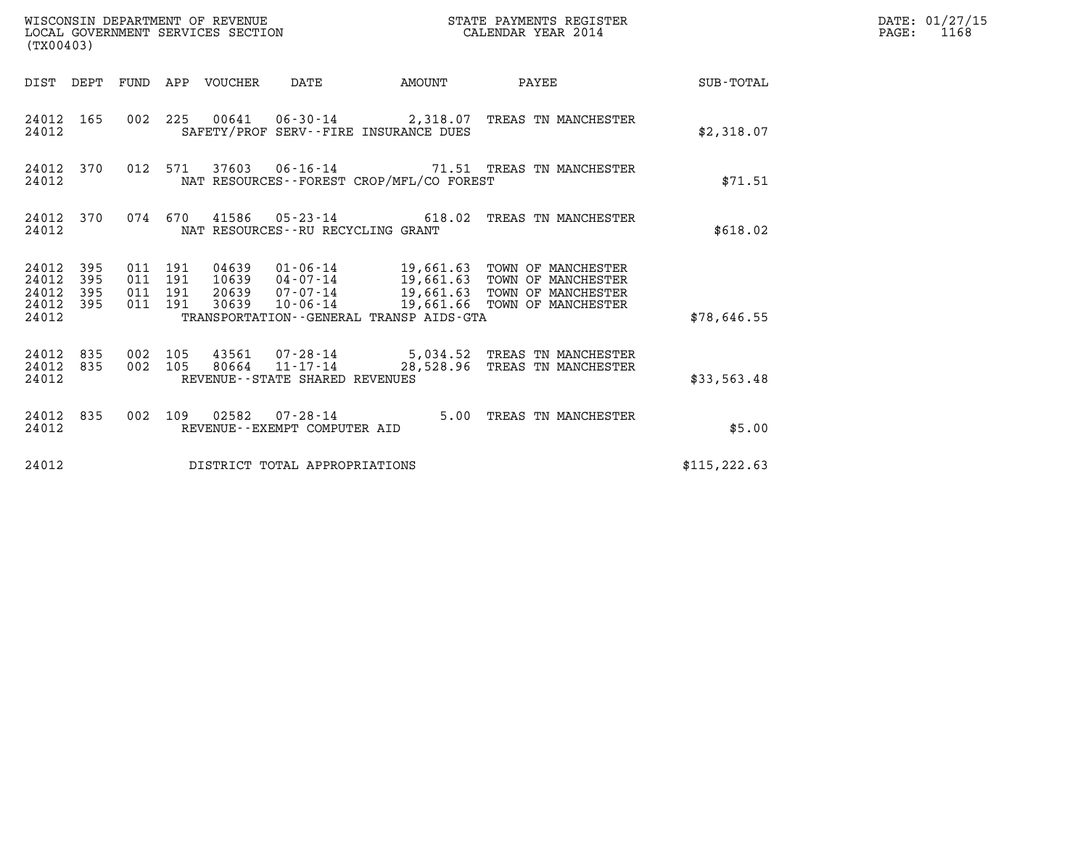| WISCONSIN DEPARTMENT OF REVENUE<br>LOCAL GOVERNMENT SERVICES SECTION<br>(TX00403) |            |                                          |  |                                 |                                                          |                                          | STATE PAYMENTS REGISTER<br>CALENDAR YEAR 2014                                                                                                                                            |               | DATE: 01/27/15<br>$\mathtt{PAGE:}$<br>1168 |
|-----------------------------------------------------------------------------------|------------|------------------------------------------|--|---------------------------------|----------------------------------------------------------|------------------------------------------|------------------------------------------------------------------------------------------------------------------------------------------------------------------------------------------|---------------|--------------------------------------------|
|                                                                                   |            |                                          |  | DIST DEPT FUND APP VOUCHER DATE |                                                          |                                          | AMOUNT PAYEE SUB-TOTAL                                                                                                                                                                   |               |                                            |
| 24012 165<br>24012                                                                |            |                                          |  |                                 |                                                          | SAFETY/PROF SERV--FIRE INSURANCE DUES    | 002 225 00641 06-30-14 2,318.07 TREAS TN MANCHESTER                                                                                                                                      | \$2,318.07    |                                            |
| 24012 370<br>24012                                                                |            |                                          |  |                                 |                                                          | NAT RESOURCES--FOREST CROP/MFL/CO FOREST | 012 571 37603 06-16-14 71.51 TREAS TN MANCHESTER                                                                                                                                         | \$71.51       |                                            |
| 24012 370<br>24012                                                                |            |                                          |  |                                 | NAT RESOURCES--RU RECYCLING GRANT                        |                                          | 074 670 41586 05-23-14 618.02 TREAS TN MANCHESTER                                                                                                                                        | \$618.02      |                                            |
| 24012 395<br>24012<br>24012<br>24012 395<br>24012                                 | 395<br>395 | 011 191<br>011 191<br>011 191<br>011 191 |  | 30639                           |                                                          | TRANSPORTATION--GENERAL TRANSP AIDS-GTA  | 04639  01-06-14  19,661.63  TOWN OF MANCHESTER<br>10639  04-07-14  19,661.63  TOWN OF MANCHESTER<br>20639 07-07-14 19,661.63 TOWN OF MANCHESTER<br>10-06-14 19,661.66 TOWN OF MANCHESTER | \$78,646.55   |                                            |
| 24012 835<br>24012 835<br>24012                                                   |            | 002 105                                  |  |                                 | 002 105 80664 11-17-14<br>REVENUE--STATE SHARED REVENUES |                                          | 43561  07-28-14  5,034.52  TREAS TN MANCHESTER<br>28,528.96 TREAS TN MANCHESTER                                                                                                          | \$33,563.48   |                                            |
| 24012 835<br>24012                                                                |            |                                          |  |                                 | REVENUE--EXEMPT COMPUTER AID                             |                                          | 002 109 02582 07-28-14 5.00 TREAS TN MANCHESTER                                                                                                                                          | \$5.00        |                                            |
| 24012                                                                             |            |                                          |  |                                 | DISTRICT TOTAL APPROPRIATIONS                            |                                          |                                                                                                                                                                                          | \$115, 222.63 |                                            |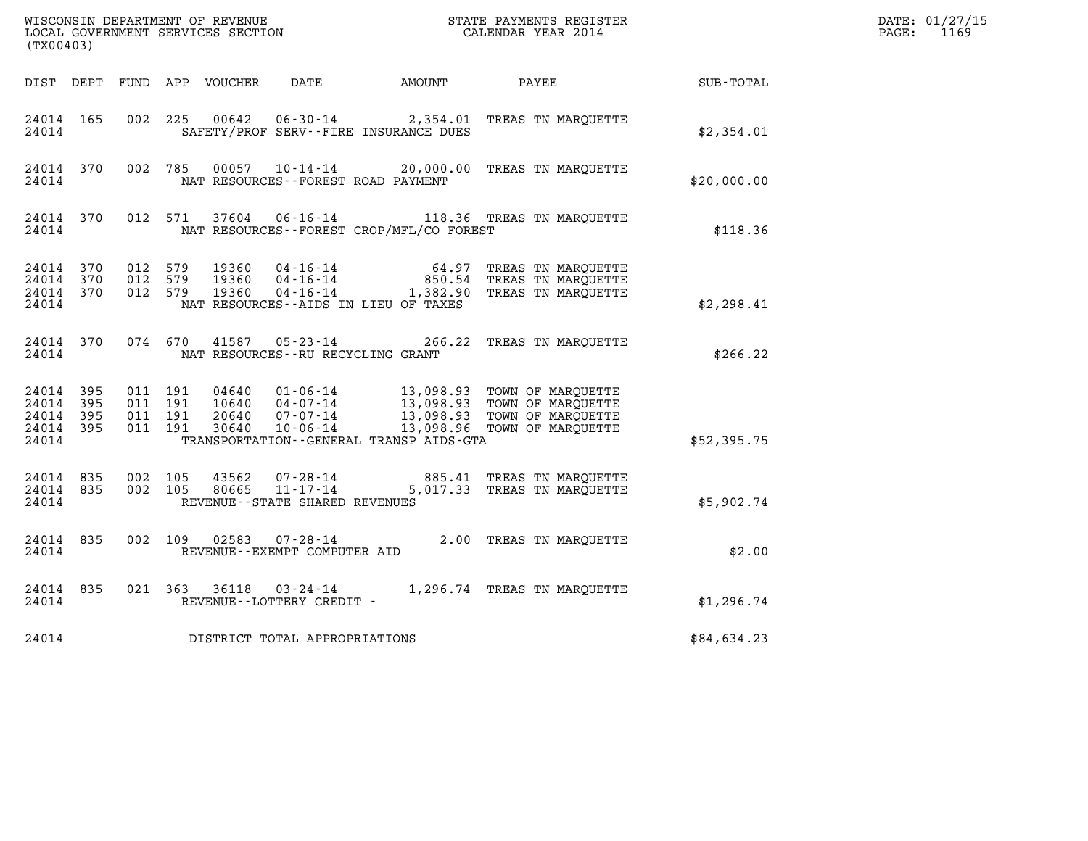| (TX00403)                                    |           |                                          |  |       |                                         |                                             |                                                                                                                                                                                                  |             | DATE: 01/27/15<br>PAGE: 1169 |
|----------------------------------------------|-----------|------------------------------------------|--|-------|-----------------------------------------|---------------------------------------------|--------------------------------------------------------------------------------------------------------------------------------------------------------------------------------------------------|-------------|------------------------------|
|                                              |           |                                          |  |       |                                         |                                             | DIST DEPT FUND APP VOUCHER DATE AMOUNT PAYEE TO SUB-TOTAL                                                                                                                                        |             |                              |
| 24014 165<br>24014                           |           | 002 225                                  |  | 00642 |                                         | SAFETY/PROF SERV--FIRE INSURANCE DUES       | 06-30-14 2,354.01 TREAS TN MARQUETTE                                                                                                                                                             | \$2,354.01  |                              |
| 24014                                        |           |                                          |  |       |                                         | NAT RESOURCES--FOREST ROAD PAYMENT          | 24014 370 002 785 00057 10-14-14 20,000.00 TREAS TN MARQUETTE                                                                                                                                    | \$20,000.00 |                              |
| 24014                                        |           |                                          |  |       |                                         | NAT RESOURCES - - FOREST CROP/MFL/CO FOREST | 24014 370 012 571 37604 06-16-14 118.36 TREAS TN MARQUETTE                                                                                                                                       | \$118.36    |                              |
| 24014 370<br>24014 370<br>24014              |           | 24014 370 012 579<br>012 579<br>012 579  |  |       |                                         | NAT RESOURCES--AIDS IN LIEU OF TAXES        | 19360  04-16-14  64.97 TREAS TN MARQUETTE<br>19360  04-16-14  850.54 TREAS TN MARQUETTE<br>19360  04-16-14  1,382.90 TREAS TN MARQUETTE                                                          | \$2,298.41  |                              |
|                                              |           |                                          |  |       | 24014 MAT RESOURCES--RU RECYCLING GRANT |                                             | 24014 370 074 670 41587 05-23-14 266.22 TREAS TN MARQUETTE                                                                                                                                       | \$266.22    |                              |
| 24014 395<br>24014 395<br>24014 395<br>24014 | 24014 395 | 011 191<br>011 191<br>011 191<br>011 191 |  |       |                                         | TRANSPORTATION--GENERAL TRANSP AIDS-GTA     | 04640  01-06-14  13,098.93  TOWN OF MARQUETTE<br>10640  04-07-14  13,098.93  TOWN OF MARQUETTE<br>20640  07-07-14  13,098.93  TOWN OF MARQUETTE<br>30640  10-06-14  13,098.96  TOWN OF MARQUETTE | \$52,395.75 |                              |
| 24014                                        | 24014 835 | 24014 835 002 105<br>002 105             |  |       | REVENUE--STATE SHARED REVENUES          |                                             | 43562  07-28-14  885.41  TREAS TN MARQUETTE<br>80665  11-17-14  5,017.33  TREAS TN MARQUETTE                                                                                                     | \$5,902.74  |                              |
| 24014                                        | 24014 835 |                                          |  |       | REVENUE--EXEMPT COMPUTER AID            |                                             | 002 109 02583 07-28-14 2.00 TREAS TN MARQUETTE                                                                                                                                                   | \$2.00      |                              |
| 24014                                        | 24014 835 |                                          |  |       | REVENUE--LOTTERY CREDIT -               |                                             | 021 363 36118 03-24-14 1,296.74 TREAS TN MARQUETTE                                                                                                                                               | \$1,296.74  |                              |
| 24014                                        |           |                                          |  |       | DISTRICT TOTAL APPROPRIATIONS           |                                             |                                                                                                                                                                                                  | \$84,634.23 |                              |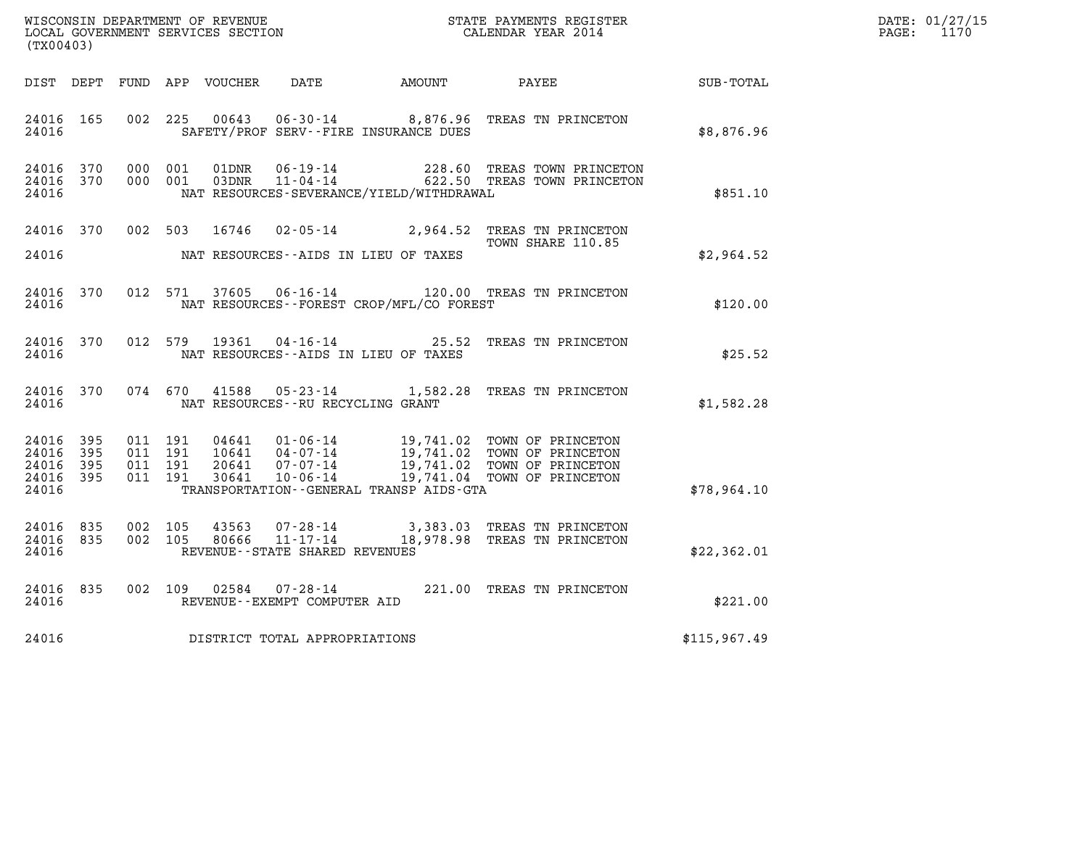| (TX00403)                                                         | WISCONSIN DEPARTMENT OF REVENUE<br>LOCAL GOVERNMENT SERVICES SECTION<br>CALENDAR YEAR 2014                                                             |                                                                                                                                                       |                   |              | DATE: 01/27/15<br>$\mathtt{PAGE}$ :<br>1170 |
|-------------------------------------------------------------------|--------------------------------------------------------------------------------------------------------------------------------------------------------|-------------------------------------------------------------------------------------------------------------------------------------------------------|-------------------|--------------|---------------------------------------------|
| DIST DEPT                                                         | FUND APP VOUCHER                                                                                                                                       | DATE AMOUNT                                                                                                                                           | PAYEE             | SUB-TOTAL    |                                             |
| 24016 165<br>24016                                                | 002 225<br>00643<br>SAFETY/PROF SERV--FIRE INSURANCE DUES                                                                                              | 06-30-14 8,876.96 TREAS TN PRINCETON                                                                                                                  |                   | \$8,876.96   |                                             |
| 24016 370<br>24016 370<br>24016                                   | 000 001<br>01DNR<br>03DNR<br>000 001<br>NAT RESOURCES-SEVERANCE/YIELD/WITHDRAWAL                                                                       | 06-19-14 228.60 TREAS TOWN PRINCETON<br>11-04-14 622.50 TREAS TOWN PRINCETON                                                                          |                   | \$851.10     |                                             |
| 24016 370<br>24016                                                | 002 503 16746<br>NAT RESOURCES--AIDS IN LIEU OF TAXES                                                                                                  | 02-05-14 2,964.52 TREAS TN PRINCETON                                                                                                                  | TOWN SHARE 110.85 | \$2,964.52   |                                             |
| 24016 370<br>24016                                                | 012 571<br>37605<br>NAT RESOURCES - - FOREST CROP/MFL/CO FOREST                                                                                        | 06-16-14 120.00 TREAS TN PRINCETON                                                                                                                    |                   | \$120.00     |                                             |
| 24016 370<br>24016                                                | 012 579 19361<br>NAT RESOURCES--AIDS IN LIEU OF TAXES                                                                                                  | 04-16-14 25.52 TREAS TN PRINCETON                                                                                                                     |                   | \$25.52      |                                             |
| 24016 370<br>24016                                                | 074 670 41588<br>NAT RESOURCES--RU RECYCLING GRANT                                                                                                     | 05-23-14 1,582.28 TREAS TN PRINCETON                                                                                                                  |                   | \$1,582.28   |                                             |
| 24016 395<br>24016<br>- 395<br>395<br>24016<br>24016 395<br>24016 | 04641<br>011 191<br>011 191<br>$10641$ $04-07-14$<br>011 191<br>20641<br>011 191<br>$10 - 06 - 14$<br>30641<br>TRANSPORTATION--GENERAL TRANSP AIDS-GTA | 01-06-14<br>04-07-14<br>07-07-14<br>07-07-14<br>19,741.02<br>10-06-14<br>19,741.04<br>TOWN OF PRINCETON<br>10-06-14<br>19,741.04<br>TOWN OF PRINCETON |                   | \$78,964.10  |                                             |
| 24016 835<br>24016 835<br>24016                                   | 002 105<br>43563<br>002 105<br>80666<br>REVENUE - - STATE SHARED REVENUES                                                                              | 07-28-14 3,383.03 TREAS TN PRINCETON<br>11-17-14 18,978.98 TREAS TN PRINCETON                                                                         |                   | \$22,362.01  |                                             |
| 24016 835<br>24016                                                | 002 109<br>02584<br>REVENUE--EXEMPT COMPUTER AID                                                                                                       | 07-28-14 221.00 TREAS TN PRINCETON                                                                                                                    |                   | \$221.00     |                                             |
| 24016                                                             | DISTRICT TOTAL APPROPRIATIONS                                                                                                                          |                                                                                                                                                       |                   | \$115,967.49 |                                             |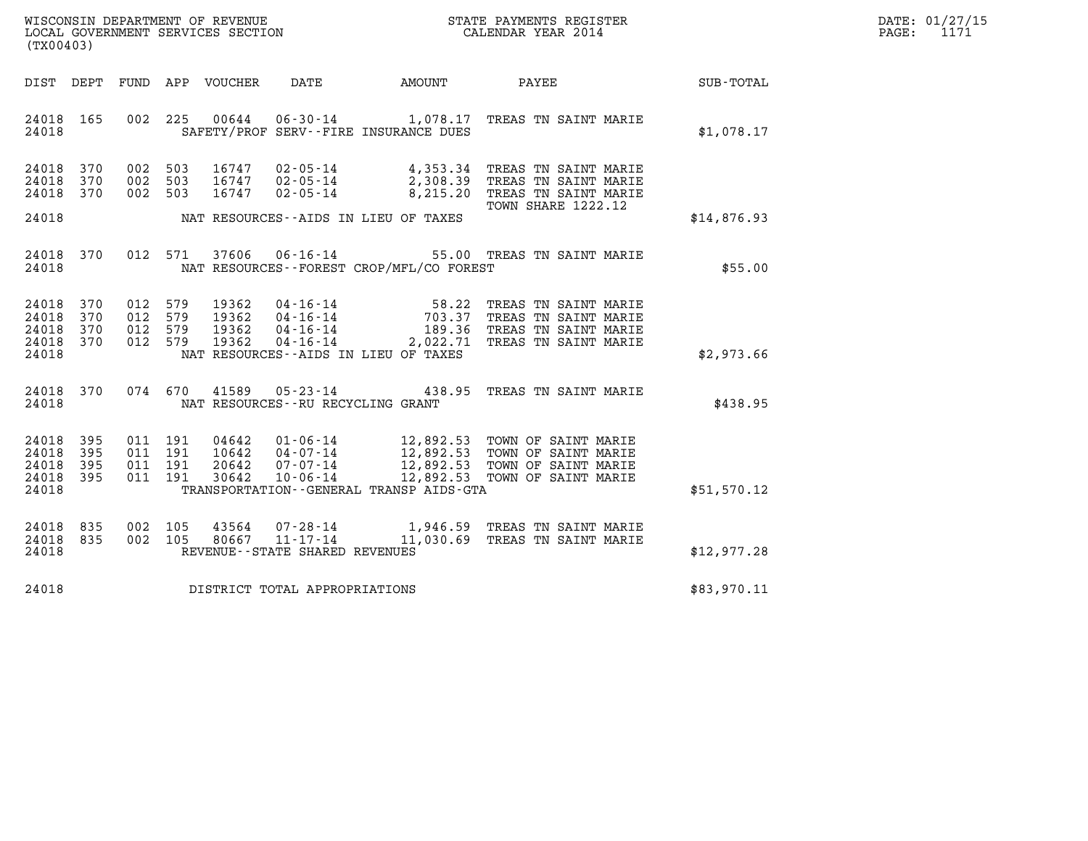| WISCONSIN DEPARTMENT OF REVENUE   | STATE PAYMENTS REGISTER | DATE: 01/27/15 |
|-----------------------------------|-------------------------|----------------|
| LOCAL GOVERNMENT SERVICES SECTION | CALENDAR YEAR 2014      | PAGE:          |

| (TX00403)                                 |                          |                          |                          |                                  |                                                                      |                                                                  |                                                                                                                        |                  |
|-------------------------------------------|--------------------------|--------------------------|--------------------------|----------------------------------|----------------------------------------------------------------------|------------------------------------------------------------------|------------------------------------------------------------------------------------------------------------------------|------------------|
| DIST                                      | DEPT                     | FUND                     |                          | APP VOUCHER                      | DATE                                                                 | AMOUNT                                                           | <b>PAYEE</b>                                                                                                           | <b>SUB-TOTAL</b> |
| 24018<br>24018                            | 165                      | 002                      | 225                      |                                  |                                                                      | 00644 06-30-14 1,078.17<br>SAFETY/PROF SERV--FIRE INSURANCE DUES | TREAS TN SAINT MARIE                                                                                                   | \$1,078.17       |
| 24018<br>24018<br>24018                   | 370<br>370<br>370        | 002<br>002<br>002        | 503<br>503<br>503        | 16747<br>16747<br>16747          | 02-05-14<br>$02 - 05 - 14$<br>$02 - 05 - 14$                         | 4,353.34<br>2,308.39<br>8,215.20                                 | TREAS TN SAINT MARIE<br>TREAS TN SAINT MARIE<br>TREAS TN SAINT MARIE<br>TOWN SHARE 1222.12                             |                  |
| 24018                                     |                          |                          |                          |                                  |                                                                      | NAT RESOURCES--AIDS IN LIEU OF TAXES                             |                                                                                                                        | \$14,876.93      |
| 24018<br>24018                            | 370                      | 012                      | 571                      | 37606                            | $06 - 16 - 14$                                                       | NAT RESOURCES--FOREST CROP/MFL/CO FOREST                         | 55.00 TREAS TN SAINT MARIE                                                                                             | \$55.00          |
| 24018<br>24018<br>24018<br>24018<br>24018 | 370<br>370<br>370<br>370 | 012<br>012<br>012<br>012 | 579<br>579<br>579<br>579 | 19362<br>19362<br>19362<br>19362 | $04 - 16 - 14$<br>$04 - 16 - 14$<br>$04 - 16 - 14$<br>$04 - 16 - 14$ | 58.22<br>703.37<br>NAT RESOURCES--AIDS IN LIEU OF TAXES          | TREAS TN SAINT MARIE<br>TREAS TN SAINT MARIE<br>189.36 TREAS TN SAINT MARIE<br>2,022.71 TREAS TN SAINT MARIE           | \$2,973.66       |
| 24018<br>24018                            | 370                      |                          | 074 670                  | 41589                            | $05 - 23 - 14$<br>NAT RESOURCES - - RU RECYCLING GRANT               | 438.95                                                           | TREAS TN SAINT MARIE                                                                                                   | \$438.95         |
| 24018<br>24018<br>24018<br>24018<br>24018 | 395<br>395<br>395<br>395 | 011<br>011<br>011<br>011 | 191<br>191<br>191<br>191 | 30642                            | $10 - 06 - 14$                                                       | 12,892.53<br>TRANSPORTATION - - GENERAL TRANSP AIDS - GTA        | 12,892.53 TOWN OF SAINT MARIE<br>12,892.53 TOWN OF SAINT MARIE<br>12,892.53 TOWN OF SAINT MARIE<br>TOWN OF SAINT MARIE | \$51,570.12      |
| 24018<br>24018<br>24018                   | 835<br>835               | 002<br>002               | 105<br>105               | 43564<br>80667                   | 07-28-14<br>$11 - 17 - 14$<br>REVENUE - - STATE SHARED REVENUES      | 11,030.69                                                        | 1,946.59 TREAS TN SAINT MARIE<br>TREAS TN SAINT MARIE                                                                  | \$12,977.28      |
| 24018                                     |                          |                          |                          |                                  | DISTRICT TOTAL APPROPRIATIONS                                        |                                                                  |                                                                                                                        | \$83,970.11      |
|                                           |                          |                          |                          |                                  |                                                                      |                                                                  |                                                                                                                        |                  |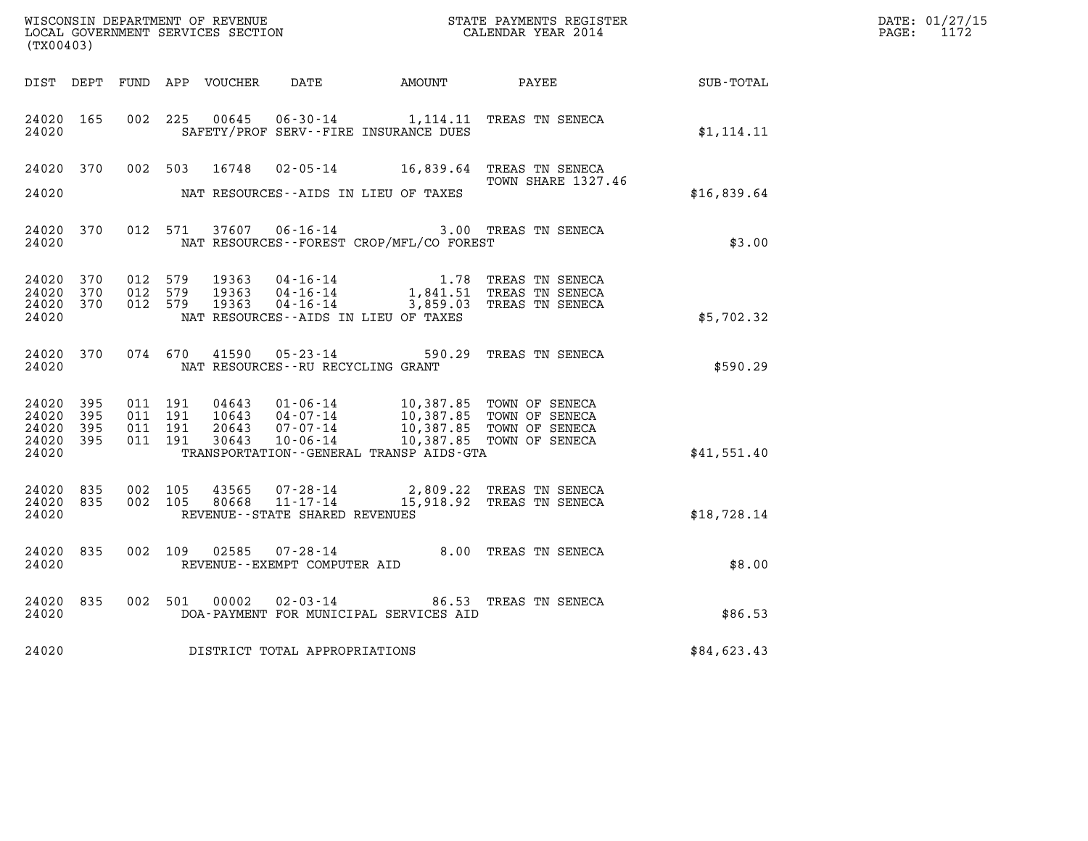| (TX00403)                                 |                            |                                          |         |                         |                                                  |                                              |                                                                                                                      |             | DATE: 01/27/15<br>$\mathtt{PAGE:}$<br>1172 |
|-------------------------------------------|----------------------------|------------------------------------------|---------|-------------------------|--------------------------------------------------|----------------------------------------------|----------------------------------------------------------------------------------------------------------------------|-------------|--------------------------------------------|
|                                           |                            |                                          |         |                         |                                                  |                                              |                                                                                                                      |             |                                            |
| 24020 165<br>24020                        |                            | 002 225                                  |         | 00645                   |                                                  | SAFETY/PROF SERV--FIRE INSURANCE DUES        | 06-30-14 1,114.11 TREAS TN SENECA                                                                                    | \$1,114.11  |                                            |
| 24020 370                                 |                            | 002 503                                  |         | 16748                   |                                                  |                                              | 02-05-14 16,839.64 TREAS TN SENECA<br><b>TOWN SHARE 1327.46</b>                                                      |             |                                            |
| 24020                                     |                            |                                          |         |                         |                                                  | NAT RESOURCES--AIDS IN LIEU OF TAXES         |                                                                                                                      | \$16,839.64 |                                            |
| 24020 370<br>24020                        |                            |                                          | 012 571 |                         | 37607 06-16-14                                   | NAT RESOURCES--FOREST CROP/MFL/CO FOREST     | 3.00 TREAS TN SENECA                                                                                                 | \$3.00      |                                            |
| 24020<br>24020<br>24020<br>24020          | 370<br>370<br>370          | 012 579<br>012 579<br>012 579            |         | 19363<br>19363<br>19363 |                                                  | NAT RESOURCES--AIDS IN LIEU OF TAXES         | 04-16-14 1.78 TREAS TN SENECA<br>04-16-14 1,841.51 TREAS TN SENECA<br>04-16-14 3,859.03 TREAS TN SENECA              | \$5,702.32  |                                            |
| 24020                                     | 24020 370                  |                                          | 074 670 |                         | NAT RESOURCES--RU RECYCLING GRANT                |                                              | 41590  05-23-14  590.29  TREAS TN SENECA                                                                             | \$590.29    |                                            |
| 24020<br>24020<br>24020<br>24020<br>24020 | - 395<br>395<br>395<br>395 | 011 191<br>011 191<br>011 191<br>011 191 |         | 20643<br>30643          | 07-07-14                                         | TRANSPORTATION - - GENERAL TRANSP AIDS - GTA | 04643  01-06-14  10,387.85  TOWN OF SENECA<br>10643  04-07-14  10,387.85  TOWN OF SENECA<br>10,387.85 TOWN OF SENECA | \$41,551.40 |                                            |
| 24020 835<br>24020<br>24020               | 835                        | 002 105<br>002 105                       |         | 43565<br>80668          | $11 - 17 - 14$<br>REVENUE--STATE SHARED REVENUES |                                              | 07-28-14 2,809.22 TREAS TN SENECA<br>15,918.92 TREAS TN SENECA                                                       | \$18,728.14 |                                            |
| 24020 835<br>24020                        |                            | 002 109                                  |         | 02585                   | $07 - 28 - 14$<br>REVENUE--EXEMPT COMPUTER AID   |                                              | 8.00 TREAS TN SENECA                                                                                                 | \$8.00      |                                            |
| 24020 835<br>24020                        |                            |                                          | 002 501 | 00002                   |                                                  | DOA-PAYMENT FOR MUNICIPAL SERVICES AID       | 02-03-14 86.53 TREAS TN SENECA                                                                                       | \$86.53     |                                            |
| 24020                                     |                            |                                          |         |                         | DISTRICT TOTAL APPROPRIATIONS                    |                                              |                                                                                                                      | \$84,623.43 |                                            |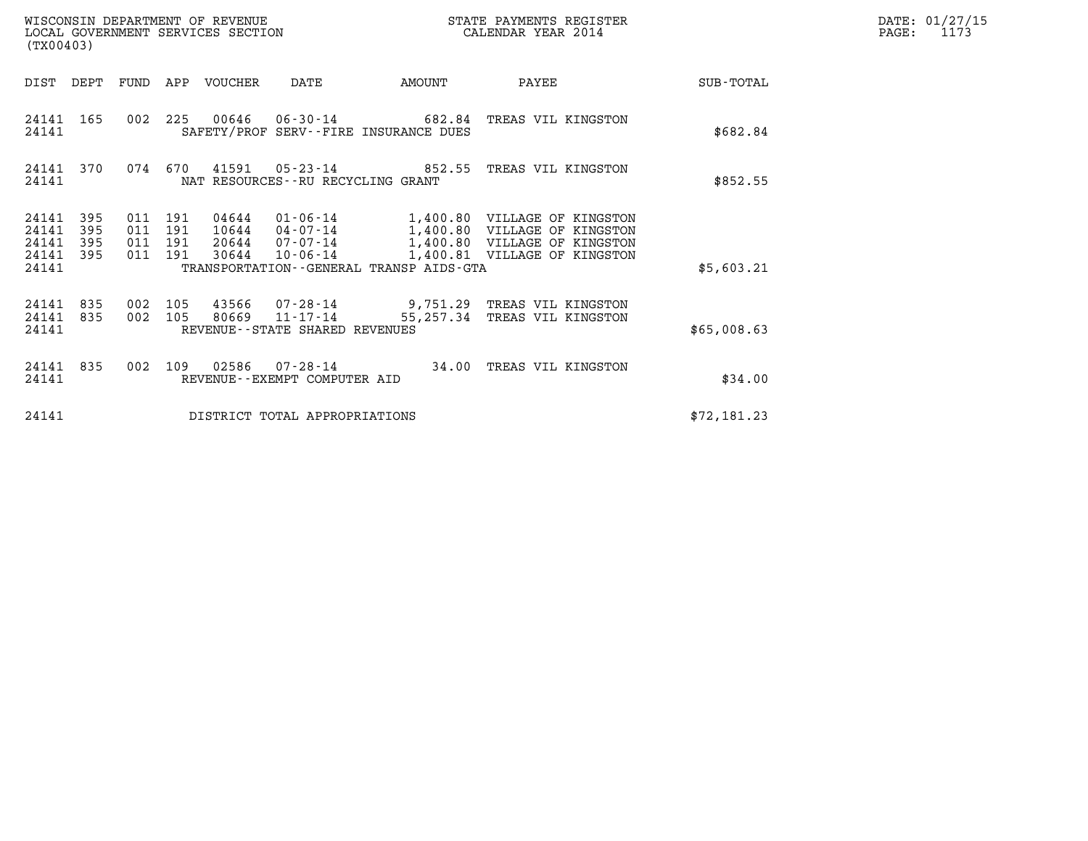|       | DATE: 01/27/15 |
|-------|----------------|
| PAGE: | 1173           |

| (TX00403)                                                          | WISCONSIN DEPARTMENT OF REVENUE<br>LOCAL GOVERNMENT SERVICES SECTION |                                                                                  |        | STATE PAYMENTS REGISTER<br>CALENDAR YEAR 2014                                                                                                  |             | DATE: 01/27/15<br>$\mathtt{PAGE}$ :<br>1173 |
|--------------------------------------------------------------------|----------------------------------------------------------------------|----------------------------------------------------------------------------------|--------|------------------------------------------------------------------------------------------------------------------------------------------------|-------------|---------------------------------------------|
| DIST DEPT FUND                                                     | APP VOUCHER                                                          | DATE                                                                             | AMOUNT | PAYEE                                                                                                                                          | SUB-TOTAL   |                                             |
| 24141 165<br>24141                                                 | 002 225                                                              | SAFETY/PROF SERV--FIRE INSURANCE DUES                                            |        | 00646  06-30-14  682.84  TREAS VIL KINGSTON                                                                                                    | \$682.84    |                                             |
| 24141 370<br>24141                                                 | 074 670                                                              | NAT RESOURCES - - RU RECYCLING GRANT                                             |        | 41591  05-23-14  852.55  TREAS VIL KINGSTON                                                                                                    | \$852.55    |                                             |
| 24141<br>395<br>395<br>24141<br>395<br>24141<br>24141 395<br>24141 | 011 191<br>011 191<br>011 191<br>011 191                             | 10644 04-07-14<br>30644 10-06-14<br>TRANSPORTATION - - GENERAL TRANSP AIDS - GTA |        | 04644  01-06-14  1,400.80  VILLAGE OF KINGSTON<br>1,400.80 VILLAGE OF KINGSTON<br>1,400.80 VILLAGE OF KINGSTON<br>1,400.81 VILLAGE OF KINGSTON | \$5,603.21  |                                             |
| 24141<br>835<br>24141 835<br>24141                                 | 002<br>105<br>002 105                                                | 80669 11-17-14<br>REVENUE - - STATE SHARED REVENUES                              |        | 43566  07-28-14  9,751.29  TREAS VIL KINGSTON<br>55,257.34 TREAS VIL KINGSTON                                                                  | \$65,008.63 |                                             |
| 24141 835<br>24141                                                 | 002<br>109                                                           | REVENUE - - EXEMPT COMPUTER AID                                                  |        | 34.00 TREAS VIL KINGSTON                                                                                                                       | \$34.00     |                                             |
| 24141                                                              |                                                                      | DISTRICT TOTAL APPROPRIATIONS                                                    |        |                                                                                                                                                | \$72,181.23 |                                             |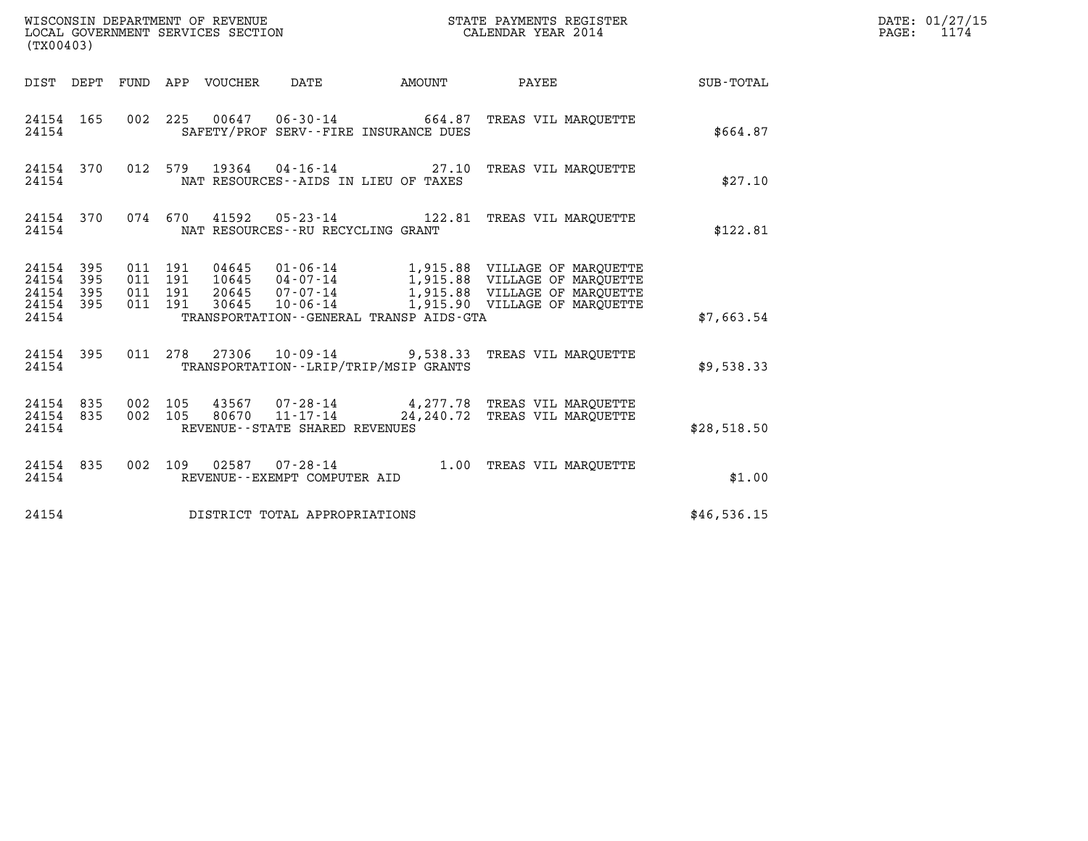| (TX00403)                                             |           |                    |                    |                                 |                                                     |                                          |                                                                               |                  | DATE: 01/27/15<br>$\mathtt{PAGE:}$<br>1174 |
|-------------------------------------------------------|-----------|--------------------|--------------------|---------------------------------|-----------------------------------------------------|------------------------------------------|-------------------------------------------------------------------------------|------------------|--------------------------------------------|
|                                                       |           |                    |                    | DIST DEPT FUND APP VOUCHER DATE |                                                     |                                          | AMOUNT PAYEE                                                                  | <b>SUB-TOTAL</b> |                                            |
| 24154                                                 | 24154 165 |                    |                    |                                 |                                                     | SAFETY/PROF SERV--FIRE INSURANCE DUES    | 002 225 00647 06-30-14 664.87 TREAS VIL MARQUETTE                             | \$664.87         |                                            |
| 24154                                                 | 24154 370 |                    |                    |                                 |                                                     | NAT RESOURCES--AIDS IN LIEU OF TAXES     | 012 579 19364 04-16-14 27.10 TREAS VIL MARQUETTE                              | \$27.10          |                                            |
| 24154                                                 | 24154 370 |                    |                    |                                 | NAT RESOURCES - - RU RECYCLING GRANT                |                                          | 074 670 41592 05-23-14 122.81 TREAS VIL MARQUETTE                             | \$122.81         |                                            |
| 24154 395<br>24154 395<br>24154<br>24154 395<br>24154 | 395       | 011 191<br>011 191 | 011 191<br>011 191 |                                 |                                                     | TRANSPORTATION--GENERAL TRANSP AIDS-GTA  | 30645  10-06-14  1,915.90  VILLAGE OF MARQUETTE                               | \$7,663.54       |                                            |
| 24154                                                 | 24154 395 |                    |                    |                                 |                                                     | TRANSPORTATION - - LRIP/TRIP/MSIP GRANTS | 011  278  27306  10-09-14  9,538.33  TREAS VIL MARQUETTE                      | \$9,538.33       |                                            |
| 24154 835<br>24154 835<br>24154                       |           | 002 105<br>002 105 |                    | 80670                           | $11 - 17 - 14$<br>REVENUE - - STATE SHARED REVENUES |                                          | 43567 07-28-14 4,277.78 TREAS VIL MARQUETTE<br>24, 240.72 TREAS VIL MAROUETTE | \$28,518.50      |                                            |
| 24154                                                 | 24154 835 |                    |                    |                                 | REVENUE--EXEMPT COMPUTER AID                        |                                          | 002 109 02587 07-28-14 1.00 TREAS VIL MAROUETTE                               | \$1.00           |                                            |
| 24154                                                 |           |                    |                    |                                 | DISTRICT TOTAL APPROPRIATIONS                       |                                          |                                                                               | \$46,536.15      |                                            |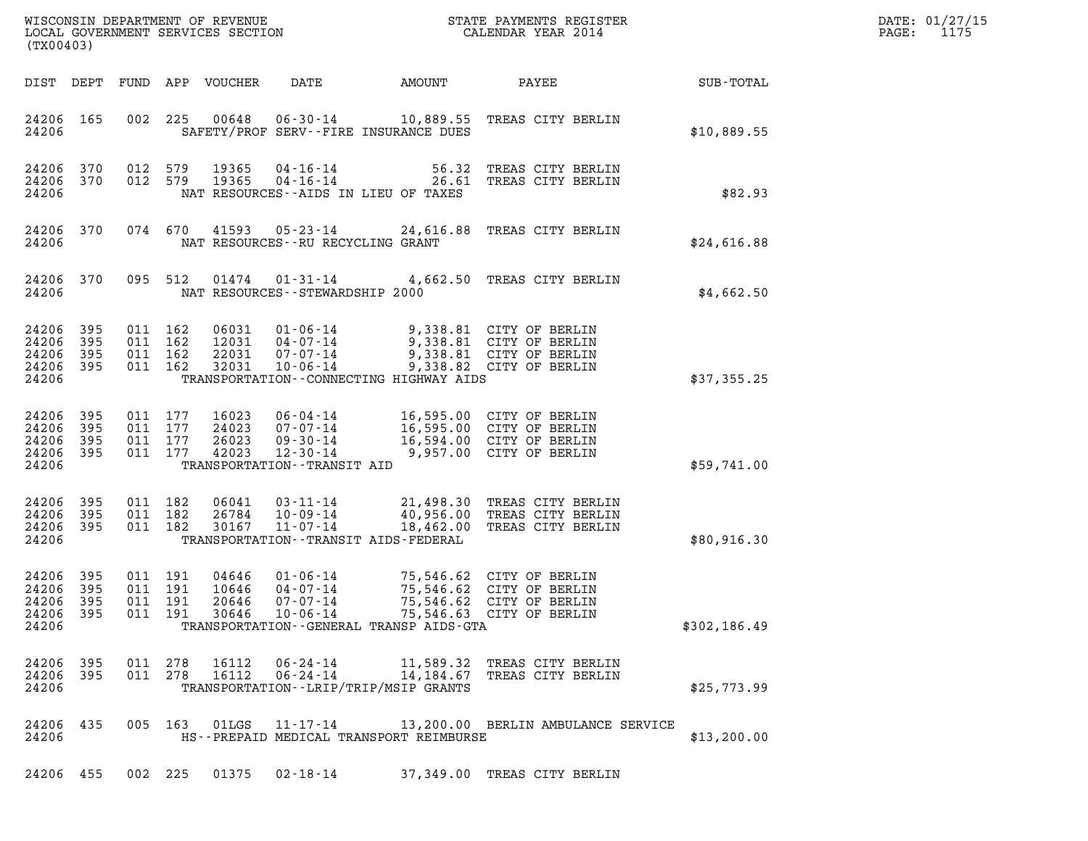| DATE: | 01/27/15 |
|-------|----------|
| PAGE: | 1175     |

| LOCAL GOVERNMENT SERVICES SECTION<br>(TX00403)    |                          |                                          |         |                                  |                                                                                                  |                                           |                                                                                                              |              | DATE: 01/27/15<br>1175<br>$\mathtt{PAGE}$ : |
|---------------------------------------------------|--------------------------|------------------------------------------|---------|----------------------------------|--------------------------------------------------------------------------------------------------|-------------------------------------------|--------------------------------------------------------------------------------------------------------------|--------------|---------------------------------------------|
|                                                   |                          |                                          |         | DIST DEPT FUND APP VOUCHER       | DATE                                                                                             | AMOUNT                                    | PAYEE                                                                                                        | SUB-TOTAL    |                                             |
| 24206 165<br>24206                                |                          |                                          |         |                                  |                                                                                                  | SAFETY/PROF SERV--FIRE INSURANCE DUES     | 002 225 00648 06-30-14 10,889.55 TREAS CITY BERLIN                                                           | \$10,889.55  |                                             |
| 24206 370<br>24206 370<br>24206                   |                          | 012 579<br>012 579                       |         | 19365<br>19365                   |                                                                                                  | NAT RESOURCES -- AIDS IN LIEU OF TAXES    | 04-16-14 56.32 TREAS CITY BERLIN<br>04-16-14 26.61 TREAS CITY BERLIN                                         | \$82.93      |                                             |
| 24206 370<br>24206                                |                          |                                          |         |                                  |                                                                                                  | NAT RESOURCES--RU RECYCLING GRANT         | 074 670 41593 05-23-14 24,616.88 TREAS CITY BERLIN                                                           | \$24,616.88  |                                             |
| 24206 370<br>24206                                |                          |                                          | 095 512 |                                  | 01474   01-31-14<br>NAT RESOURCES - - STEWARDSHIP 2000                                           |                                           | 4,662.50 TREAS CITY BERLIN                                                                                   | \$4,662.50   |                                             |
| 24206<br>24206<br>24206<br>24206 395<br>24206     | 395<br>395<br>395        | 011 162<br>011 162<br>011 162<br>011 162 |         | 06031<br>22031<br>32031          | $01 - 06 - 14$<br>12031 04-07-14<br>07-07-14<br>$10 - 06 - 14$                                   | TRANSPORTATION--CONNECTING HIGHWAY AIDS   | 9,338.81 CITY OF BERLIN<br>9,338.81 CITY OF BERLIN<br>9,338.81 CITY OF BERLIN<br>9,338.82 CITY OF BERLIN     | \$37,355.25  |                                             |
| 24206<br>24206<br>24206<br>24206<br>24206         | 395<br>395<br>395<br>395 | 011 177<br>011 177<br>011 177<br>011 177 |         | 16023<br>24023<br>26023<br>42023 | $06 - 04 - 14$<br>07-07-14<br>$09 - 30 - 14$<br>$12 - 30 - 14$<br>TRANSPORTATION - - TRANSIT AID | 16,595.00 CITY OF BERLIN                  | 16,595.00 CITY OF BERLIN<br>16,594.00 CITY OF BERLIN<br>9,957.00 CITY OF BERLIN                              | \$59,741.00  |                                             |
| 24206<br>24206<br>24206 395<br>24206              | 395<br>395               | 011 182<br>011 182<br>011 182            |         | 06041<br>26784<br>30167          | $03 - 11 - 14$<br>10-09-14<br>$11 - 07 - 14$                                                     | TRANSPORTATION - - TRANSIT AIDS - FEDERAL | 21,498.30 TREAS CITY BERLIN<br>40,956.00 TREAS CITY BERLIN<br>18,462.00 TREAS CITY BERLIN                    | \$80,916.30  |                                             |
| 24206<br>24206<br>24206 395<br>24206 395<br>24206 | 395<br>395               | 011 191<br>011 191<br>011 191            | 011 191 | 04646<br>10646<br>20646<br>30646 | $01 - 06 - 14$<br>$04 - 07 - 14$<br>$07 - 07 - 14$<br>$10 - 06 - 14$                             | TRANSPORTATION--GENERAL TRANSP AIDS-GTA   | 75,546.62 CITY OF BERLIN<br>75,546.62 CITY OF BERLIN<br>75,546.62 CITY OF BERLIN<br>75,546.63 CITY OF BERLIN | \$302,186.49 |                                             |
| 24206 395<br>24206 395<br>24206                   |                          | 011 278<br>011 278                       |         | 16112<br>16112                   | 06-24-14<br>$06 - 24 - 14$                                                                       | TRANSPORTATION - - LRIP/TRIP/MSIP GRANTS  | 11,589.32 TREAS CITY BERLIN<br>14,184.67 TREAS CITY BERLIN                                                   | \$25,773.99  |                                             |
| 24206 435<br>24206                                |                          |                                          | 005 163 | $01$ LGS                         | 11-17-14                                                                                         | HS--PREPAID MEDICAL TRANSPORT REIMBURSE   | 13,200.00 BERLIN AMBULANCE SERVICE                                                                           | \$13,200.00  |                                             |
| 24206 455                                         |                          |                                          |         |                                  |                                                                                                  |                                           | 002 225 01375 02-18-14 37,349.00 TREAS CITY BERLIN                                                           |              |                                             |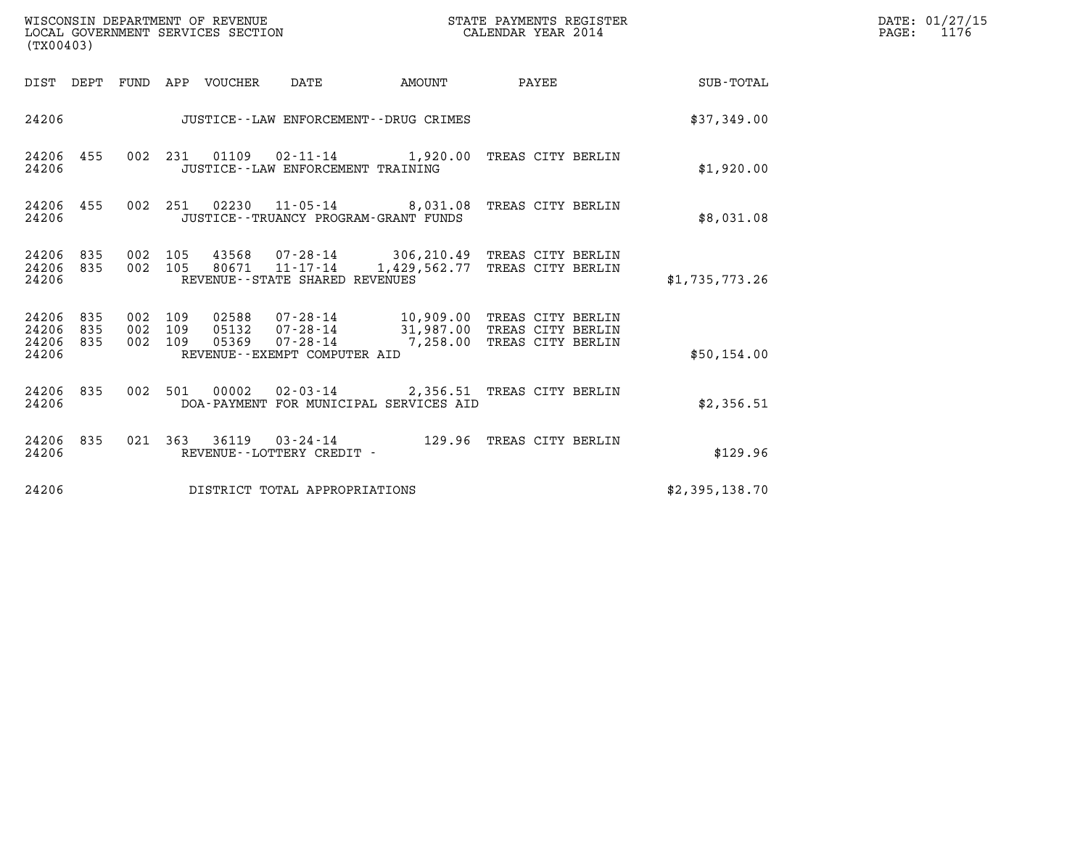| WISCONSIN DEPARTMENT OF REVENUE<br>(TX00403)          | LOCAL GOVERNMENT SERVICES SECTION                                                                                               | STATE PAYMENTS REGISTER<br>CALENDAR YEAR 2014 |                                                                                          |                | DATE: 01/27/15<br>1176<br>PAGE: |
|-------------------------------------------------------|---------------------------------------------------------------------------------------------------------------------------------|-----------------------------------------------|------------------------------------------------------------------------------------------|----------------|---------------------------------|
| DIST DEPT FUND APP VOUCHER                            | DATE                                                                                                                            | AMOUNT                                        | PAYEE                                                                                    | SUB-TOTAL      |                                 |
| 24206                                                 | JUSTICE - - LAW ENFORCEMENT - - DRUG CRIMES                                                                                     |                                               |                                                                                          | \$37,349.00    |                                 |
| 24206 455<br>24206                                    | 002 231 01109 02-11-14 1,920.00 TREAS CITY BERLIN<br>JUSTICE - - LAW ENFORCEMENT TRAINING                                       |                                               |                                                                                          | \$1,920.00     |                                 |
| 24206 455<br>24206                                    | 002  251  02230  11-05-14  8,031.08  TREAS CITY BERLIN<br>JUSTICE - - TRUANCY PROGRAM - GRANT FUNDS                             |                                               |                                                                                          | \$8,031.08     |                                 |
| 24206<br>835<br>24206<br>835<br>24206                 | 002 105<br>43568<br>002 105<br>80671 11-17-14<br>REVENUE - - STATE SHARED REVENUES                                              |                                               | 07-28-14 306, 210.49 TREAS CITY BERLIN<br>1,429,562.77 TREAS CITY BERLIN                 | \$1,735,773.26 |                                 |
| 24206<br>835<br>835<br>24206<br>835<br>24206<br>24206 | 002 109<br>02588<br>07-28-14<br>002 109<br>05132<br>07-28-14<br>002 109<br>05369<br>07-28-14<br>REVENUE - - EXEMPT COMPUTER AID |                                               | 10,909.00 TREAS CITY BERLIN<br>31,987.00 TREAS CITY BERLIN<br>7,258.00 TREAS CITY BERLIN | \$50,154.00    |                                 |
| 24206 835<br>002<br>24206                             | 00002<br>501<br>DOA-PAYMENT FOR MUNICIPAL SERVICES AID                                                                          |                                               | 02-03-14 2,356.51 TREAS CITY BERLIN                                                      | \$2,356.51     |                                 |
| 24206 835<br>24206                                    | 36119<br>021 363<br>REVENUE--LOTTERY CREDIT -                                                                                   |                                               |                                                                                          | \$129.96       |                                 |
| 24206                                                 | DISTRICT TOTAL APPROPRIATIONS                                                                                                   |                                               |                                                                                          | \$2,395,138.70 |                                 |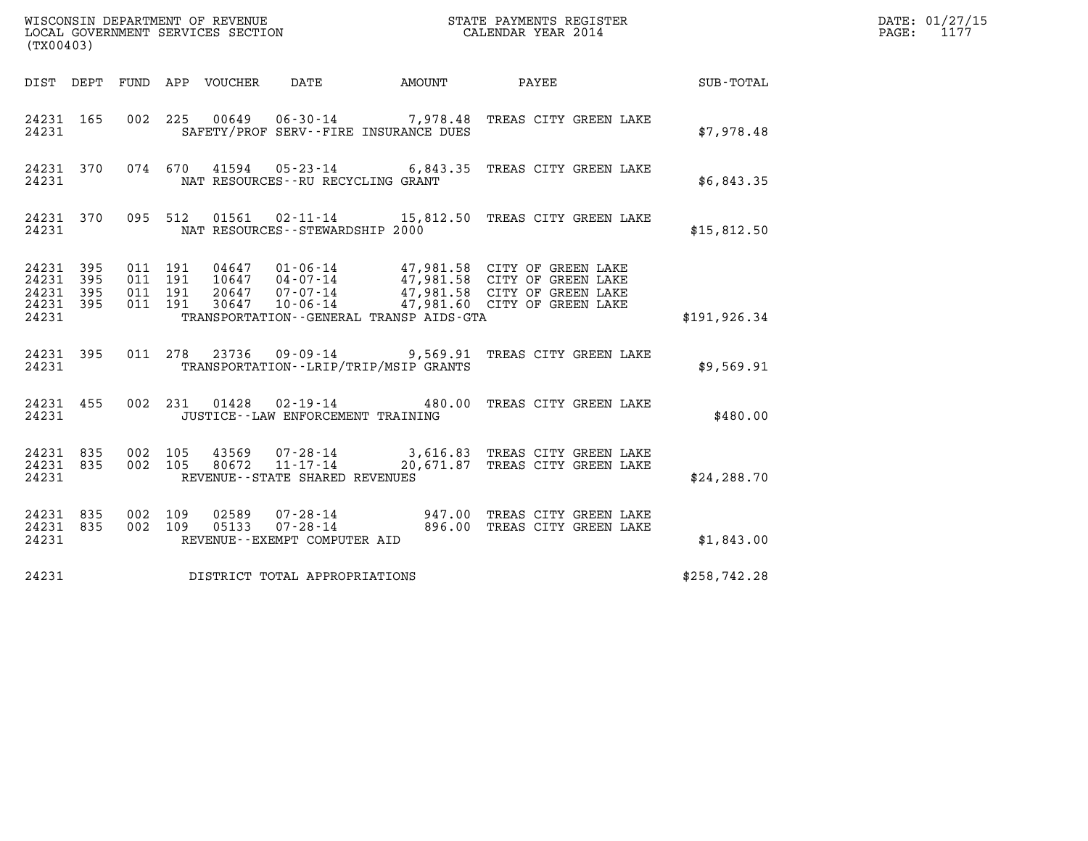| (TX00403)                                                 |           |                    |                               |                                                                  |                                          |                                                                                                                                                                                                      |               | DATE: 01/27/15<br>1177<br>$\mathtt{PAGE:}$ |
|-----------------------------------------------------------|-----------|--------------------|-------------------------------|------------------------------------------------------------------|------------------------------------------|------------------------------------------------------------------------------------------------------------------------------------------------------------------------------------------------------|---------------|--------------------------------------------|
|                                                           |           |                    |                               | DIST DEPT FUND APP VOUCHER DATE                                  |                                          | AMOUNT PAYEE                                                                                                                                                                                         | SUB-TOTAL     |                                            |
| 24231                                                     | 24231 165 |                    |                               |                                                                  | SAFETY/PROF SERV--FIRE INSURANCE DUES    | 002 225 00649 06-30-14 7,978.48 TREAS CITY GREEN LAKE                                                                                                                                                | \$7,978.48    |                                            |
| 24231                                                     | 24231 370 |                    |                               | NAT RESOURCES--RU RECYCLING GRANT                                |                                          | 074 670 41594 05-23-14 6,843.35 TREAS CITY GREEN LAKE                                                                                                                                                | \$6,843.35    |                                            |
| 24231                                                     |           |                    |                               | NAT RESOURCES - - STEWARDSHIP 2000                               |                                          | 24231 370 095 512 01561 02-11-14 15,812.50 TREAS CITY GREEN LAKE                                                                                                                                     | \$15,812.50   |                                            |
| 24231 395<br>24231 395<br>24231 395<br>24231 395<br>24231 |           | 011 191            | 011 191<br>011 191<br>011 191 |                                                                  | TRANSPORTATION--GENERAL TRANSP AIDS-GTA  | 04647  01-06-14  47,981.58  CITY OF GREEN LAKE<br>10647  04-07-14  47,981.58  CITY OF GREEN LAKE<br>20647  07-07-14  47,981.58  CITY OF GREEN LAKE<br>30647  10-06-14  47,981.60  CITY OF GREEN LAKE | \$191, 926.34 |                                            |
| 24231                                                     | 24231 395 |                    | 011 278 23736                 |                                                                  | TRANSPORTATION - - LRIP/TRIP/MSIP GRANTS | 09-09-14 9,569.91 TREAS CITY GREEN LAKE                                                                                                                                                              | \$9,569.91    |                                            |
| 24231                                                     | 24231 455 |                    |                               | JUSTICE - - LAW ENFORCEMENT TRAINING                             |                                          | 002 231 01428 02-19-14 480.00 TREAS CITY GREEN LAKE                                                                                                                                                  | \$480.00      |                                            |
| 24231 835<br>24231 835<br>24231                           |           | 002 105<br>002 105 |                               | 80672<br>$11 - 17 - 14$<br>REVENUE - - STATE SHARED REVENUES     |                                          | 43569 07-28-14 3,616.83 TREAS CITY GREEN LAKE<br>20,671.87 TREAS CITY GREEN LAKE                                                                                                                     | \$24, 288.70  |                                            |
| 24231 835<br>24231 835<br>24231                           |           | 002 109<br>002 109 |                               | 02589<br>05133<br>$07 - 28 - 14$<br>REVENUE--EXEMPT COMPUTER AID |                                          | 07-28-14 947.00 TREAS CITY GREEN LAKE<br>07-28-14 07-28-14 896.00 TREAS CITY GREEN LAKE                                                                                                              | \$1,843.00    |                                            |
| 24231                                                     |           |                    |                               | DISTRICT TOTAL APPROPRIATIONS                                    |                                          |                                                                                                                                                                                                      | \$258,742.28  |                                            |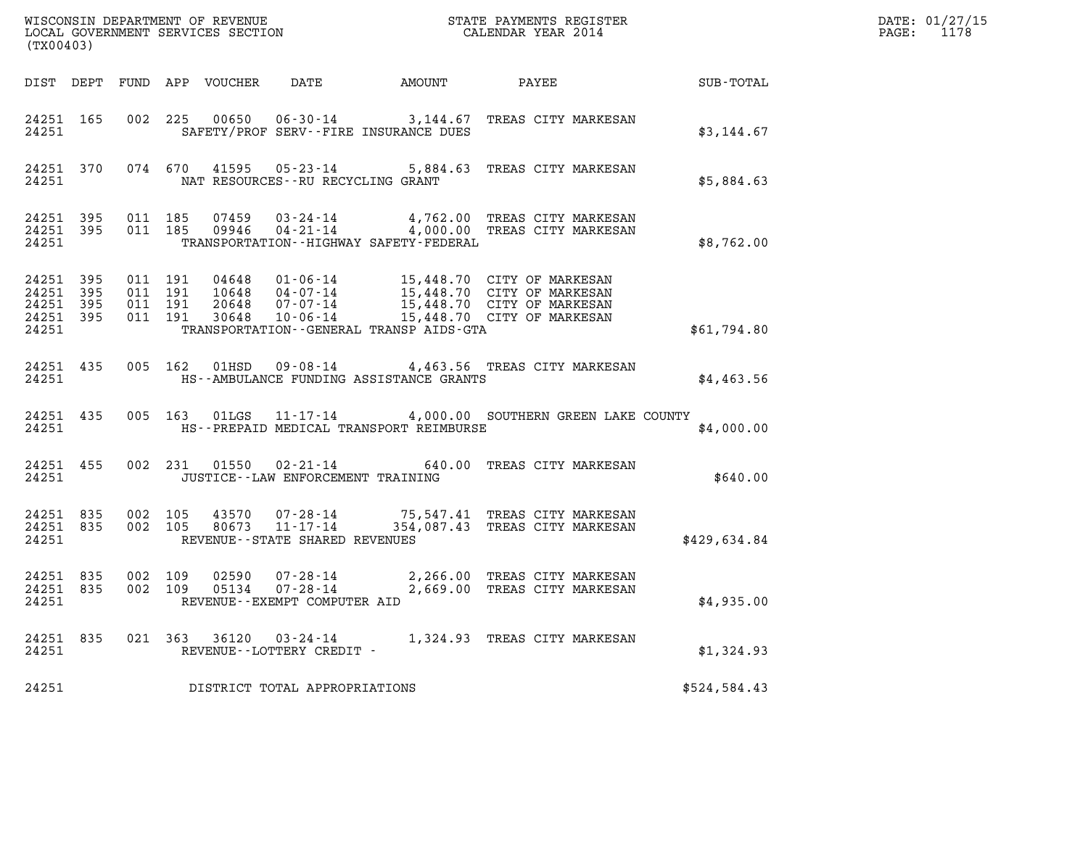| (TX00403)                                    |           |                               |         |       |                                                     |                                          |                                                                                                                                                                                              |              | DATE: 01/27/15<br>PAGE: 1178 |
|----------------------------------------------|-----------|-------------------------------|---------|-------|-----------------------------------------------------|------------------------------------------|----------------------------------------------------------------------------------------------------------------------------------------------------------------------------------------------|--------------|------------------------------|
|                                              |           |                               |         |       |                                                     |                                          |                                                                                                                                                                                              |              |                              |
| 24251                                        |           |                               |         |       |                                                     | SAFETY/PROF SERV--FIRE INSURANCE DUES    | 24251 165 002 225 00650 06-30-14 3,144.67 TREAS CITY MARKESAN                                                                                                                                | \$3,144.67   |                              |
| 24251 2436                                   |           |                               |         |       | NAT RESOURCES--RU RECYCLING GRANT                   |                                          | 24251 370 074 670 41595 05-23-14 5,884.63 TREAS CITY MARKESAN                                                                                                                                | \$5,884.63   |                              |
| 24251                                        |           |                               |         |       |                                                     | TRANSPORTATION -- HIGHWAY SAFETY-FEDERAL | 24251 395 011 185 07459 03-24-14 4,762.00 TREAS CITY MARKESAN<br>24251 395 011 185 09946 04-21-14 4,000.00 TREAS CITY MARKESAN                                                               | \$8,762.00   |                              |
| 24251 395<br>24251 395<br>24251 395<br>24251 | 24251 395 | 011 191<br>011 191<br>011 191 | 011 191 |       |                                                     | TRANSPORTATION--GENERAL TRANSP AIDS-GTA  | 04648  01-06-14  15,448.70  CITY OF MARKESAN<br>10648  04-07-14  15,448.70  CITY OF MARKESAN<br>20648  07-07-14  15,448.70  CITY OF MARKESAN<br>30648  10-06-14  15,448.70  CITY OF MARKESAN | \$61,794.80  |                              |
| 24251                                        |           |                               |         |       |                                                     | HS--AMBULANCE FUNDING ASSISTANCE GRANTS  | 24251 435 005 162 01HSD 09-08-14 4,463.56 TREAS CITY MARKESAN                                                                                                                                | \$4,463.56   |                              |
| 24251                                        |           |                               |         |       |                                                     |                                          | 24251 435 005 163 01LGS 11-17-14 4,000.00 SOUTHERN GREEN LAKE COUNTY<br>HS--PREPAID MEDICAL TRANSPORT REIMBURSE                                                                              | \$4,000.00   |                              |
|                                              |           | 24251 2436                    |         |       | JUSTICE -- LAW ENFORCEMENT TRAINING                 |                                          | 24251 455 002 231 01550 02-21-14 640.00 TREAS CITY MARKESAN                                                                                                                                  | \$640.00     |                              |
| 24251 835                                    |           | 24251 835 002 105             |         |       | 24251 REVENUE - STATE SHARED REVENUES               |                                          | 002 105 43570 07-28-14 75,547.41 TREAS CITY MARKESAN<br>002 105 80673 11-17-14 354,087.43 TREAS CITY MARKESAN                                                                                | \$429,634.84 |                              |
| 24251 835<br>24251 835<br>24251              |           | 002 109<br>002 109            |         | 05134 | 07-28-14<br>REVENUE--EXEMPT COMPUTER AID            |                                          | 02590  07-28-14  2,266.00  TREAS CITY MARKESAN<br>2,669.00 TREAS CITY MARKESAN                                                                                                               | \$4,935.00   |                              |
| 24251 835<br>24251                           |           |                               |         |       | 021 363 36120 03-24-14<br>REVENUE--LOTTERY CREDIT - |                                          | 1,324.93 TREAS CITY MARKESAN                                                                                                                                                                 | \$1,324.93   |                              |
| 24251                                        |           |                               |         |       | DISTRICT TOTAL APPROPRIATIONS                       |                                          |                                                                                                                                                                                              | \$524,584.43 |                              |